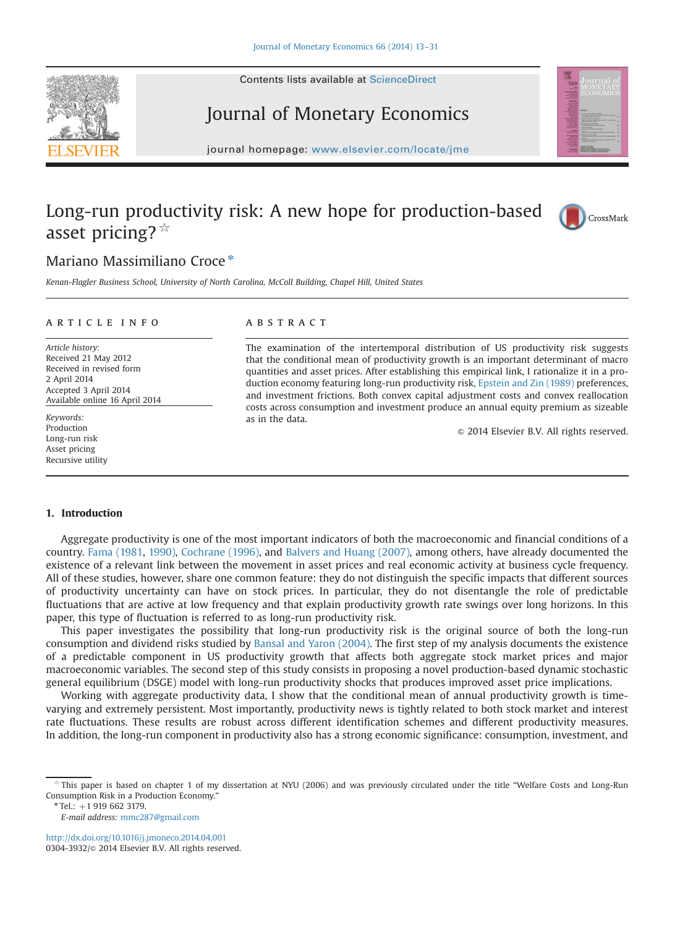



# Journal of Monetary Economics

journal homepage: <www.elsevier.com/locate/jme>

## Long-run productivity risk: A new hope for production-based asset pricing? $\frac{1}{x}$



### Mariano Massimiliano Croce<sup>\*</sup>

Kenan-Flagler Business School, University of North Carolina, McColl Building, Chapel Hill, United States

#### article info

Article history: Received 21 May 2012 Received in revised form 2 April 2014 Accepted 3 April 2014 Available online 16 April 2014

Keywords: Production Long-run risk Asset pricing Recursive utility

#### **ARSTRACT**

The examination of the intertemporal distribution of US productivity risk suggests that the conditional mean of productivity growth is an important determinant of macro quantities and asset prices. After establishing this empirical link, I rationalize it in a production economy featuring long-run productivity risk, [Epstein and Zin \(1989\)](#page-18-0) preferences, and investment frictions. Both convex capital adjustment costs and convex reallocation costs across consumption and investment produce an annual equity premium as sizeable as in the data.

 $\odot$  2014 Elsevier B.V. All rights reserved.

#### 1. Introduction

Aggregate productivity is one of the most important indicators of both the macroeconomic and financial conditions of a country. [Fama \(1981](#page-18-0), [1990\)](#page-18-0), [Cochrane \(1996\)](#page-18-0), and [Balvers and Huang \(2007\)](#page-18-0), among others, have already documented the existence of a relevant link between the movement in asset prices and real economic activity at business cycle frequency. All of these studies, however, share one common feature: they do not distinguish the specific impacts that different sources of productivity uncertainty can have on stock prices. In particular, they do not disentangle the role of predictable fluctuations that are active at low frequency and that explain productivity growth rate swings over long horizons. In this paper, this type of fluctuation is referred to as long-run productivity risk.

This paper investigates the possibility that long-run productivity risk is the original source of both the long-run consumption and dividend risks studied by [Bansal and Yaron \(2004\)](#page-18-0). The first step of my analysis documents the existence of a predictable component in US productivity growth that affects both aggregate stock market prices and major macroeconomic variables. The second step of this study consists in proposing a novel production-based dynamic stochastic general equilibrium (DSGE) model with long-run productivity shocks that produces improved asset price implications.

Working with aggregate productivity data, I show that the conditional mean of annual productivity growth is timevarying and extremely persistent. Most importantly, productivity news is tightly related to both stock market and interest rate fluctuations. These results are robust across different identification schemes and different productivity measures. In addition, the long-run component in productivity also has a strong economic significance: consumption, investment, and

 $*$  Tel.: +1 919 662 3179.

E-mail address: [mmc287@gmail.com](mailto:mmc287@gmail.com)

<http://dx.doi.org/10.1016/j.jmoneco.2014.04.001> 0304-3932/& 2014 Elsevier B.V. All rights reserved.

This paper is based on chapter 1 of my dissertation at NYU (2006) and was previously circulated under the title "Welfare Costs and Long-Run Consumption Risk in a Production Economy."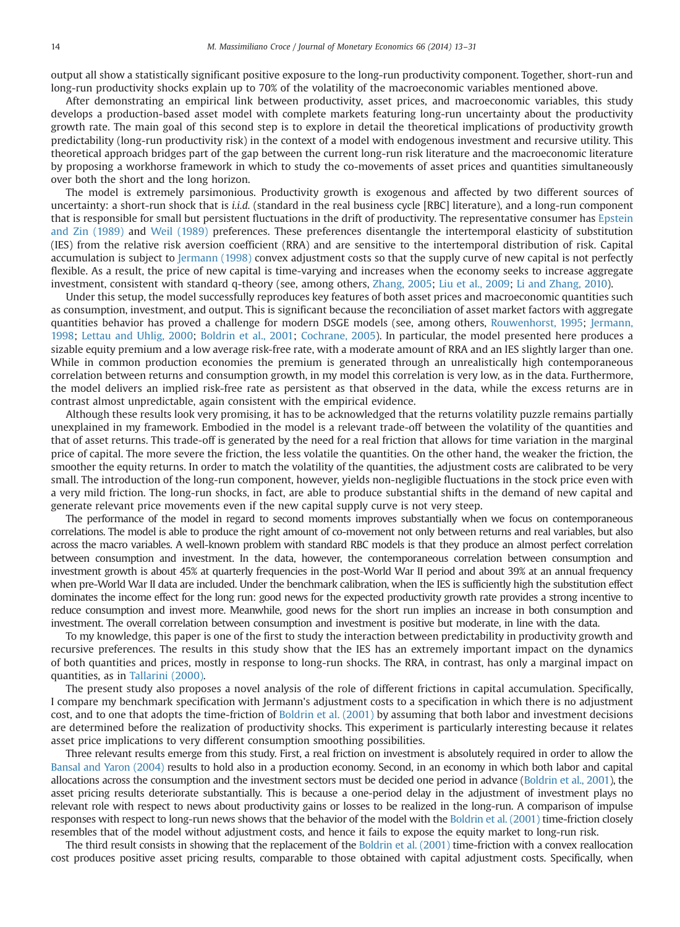output all show a statistically significant positive exposure to the long-run productivity component. Together, short-run and long-run productivity shocks explain up to 70% of the volatility of the macroeconomic variables mentioned above.

After demonstrating an empirical link between productivity, asset prices, and macroeconomic variables, this study develops a production-based asset model with complete markets featuring long-run uncertainty about the productivity growth rate. The main goal of this second step is to explore in detail the theoretical implications of productivity growth predictability (long-run productivity risk) in the context of a model with endogenous investment and recursive utility. This theoretical approach bridges part of the gap between the current long-run risk literature and the macroeconomic literature by proposing a workhorse framework in which to study the co-movements of asset prices and quantities simultaneously over both the short and the long horizon.

The model is extremely parsimonious. Productivity growth is exogenous and affected by two different sources of uncertainty: a short-run shock that is *i.i.d.* (standard in the real business cycle [RBC] literature), and a long-run component that is responsible for small but persistent fluctuations in the drift of productivity. The representative consumer has [Epstein](#page-18-0) [and Zin \(1989\)](#page-18-0) and [Weil \(1989\)](#page-18-0) preferences. These preferences disentangle the intertemporal elasticity of substitution (IES) from the relative risk aversion coefficient (RRA) and are sensitive to the intertemporal distribution of risk. Capital accumulation is subject to [Jermann \(1998\)](#page-18-0) convex adjustment costs so that the supply curve of new capital is not perfectly flexible. As a result, the price of new capital is time-varying and increases when the economy seeks to increase aggregate investment, consistent with standard q-theory (see, among others, [Zhang, 2005;](#page-18-0) [Liu et al., 2009](#page-18-0); [Li and Zhang, 2010](#page-18-0)).

Under this setup, the model successfully reproduces key features of both asset prices and macroeconomic quantities such as consumption, investment, and output. This is significant because the reconciliation of asset market factors with aggregate quantities behavior has proved a challenge for modern DSGE models (see, among others, [Rouwenhorst, 1995;](#page-18-0) [Jermann,](#page-18-0) [1998](#page-18-0); [Lettau and Uhlig, 2000;](#page-18-0) [Boldrin et al., 2001;](#page-18-0) [Cochrane, 2005\)](#page-18-0). In particular, the model presented here produces a sizable equity premium and a low average risk-free rate, with a moderate amount of RRA and an IES slightly larger than one. While in common production economies the premium is generated through an unrealistically high contemporaneous correlation between returns and consumption growth, in my model this correlation is very low, as in the data. Furthermore, the model delivers an implied risk-free rate as persistent as that observed in the data, while the excess returns are in contrast almost unpredictable, again consistent with the empirical evidence.

Although these results look very promising, it has to be acknowledged that the returns volatility puzzle remains partially unexplained in my framework. Embodied in the model is a relevant trade-off between the volatility of the quantities and that of asset returns. This trade-off is generated by the need for a real friction that allows for time variation in the marginal price of capital. The more severe the friction, the less volatile the quantities. On the other hand, the weaker the friction, the smoother the equity returns. In order to match the volatility of the quantities, the adjustment costs are calibrated to be very small. The introduction of the long-run component, however, yields non-negligible fluctuations in the stock price even with a very mild friction. The long-run shocks, in fact, are able to produce substantial shifts in the demand of new capital and generate relevant price movements even if the new capital supply curve is not very steep.

The performance of the model in regard to second moments improves substantially when we focus on contemporaneous correlations. The model is able to produce the right amount of co-movement not only between returns and real variables, but also across the macro variables. A well-known problem with standard RBC models is that they produce an almost perfect correlation between consumption and investment. In the data, however, the contemporaneous correlation between consumption and investment growth is about 45% at quarterly frequencies in the post-World War II period and about 39% at an annual frequency when pre-World War II data are included. Under the benchmark calibration, when the IES is sufficiently high the substitution effect dominates the income effect for the long run: good news for the expected productivity growth rate provides a strong incentive to reduce consumption and invest more. Meanwhile, good news for the short run implies an increase in both consumption and investment. The overall correlation between consumption and investment is positive but moderate, in line with the data.

To my knowledge, this paper is one of the first to study the interaction between predictability in productivity growth and recursive preferences. The results in this study show that the IES has an extremely important impact on the dynamics of both quantities and prices, mostly in response to long-run shocks. The RRA, in contrast, has only a marginal impact on quantities, as in [Tallarini \(2000\).](#page-18-0)

The present study also proposes a novel analysis of the role of different frictions in capital accumulation. Specifically, I compare my benchmark specification with Jermann's adjustment costs to a specification in which there is no adjustment cost, and to one that adopts the time-friction of [Boldrin et al. \(2001\)](#page-18-0) by assuming that both labor and investment decisions are determined before the realization of productivity shocks. This experiment is particularly interesting because it relates asset price implications to very different consumption smoothing possibilities.

Three relevant results emerge from this study. First, a real friction on investment is absolutely required in order to allow the [Bansal and Yaron \(2004\)](#page-18-0) results to hold also in a production economy. Second, in an economy in which both labor and capital allocations across the consumption and the investment sectors must be decided one period in advance ([Boldrin et al., 2001](#page-18-0)), the asset pricing results deteriorate substantially. This is because a one-period delay in the adjustment of investment plays no relevant role with respect to news about productivity gains or losses to be realized in the long-run. A comparison of impulse responses with respect to long-run news shows that the behavior of the model with the [Boldrin et al. \(2001\)](#page-18-0) time-friction closely resembles that of the model without adjustment costs, and hence it fails to expose the equity market to long-run risk.

The third result consists in showing that the replacement of the [Boldrin et al. \(2001\)](#page-18-0) time-friction with a convex reallocation cost produces positive asset pricing results, comparable to those obtained with capital adjustment costs. Specifically, when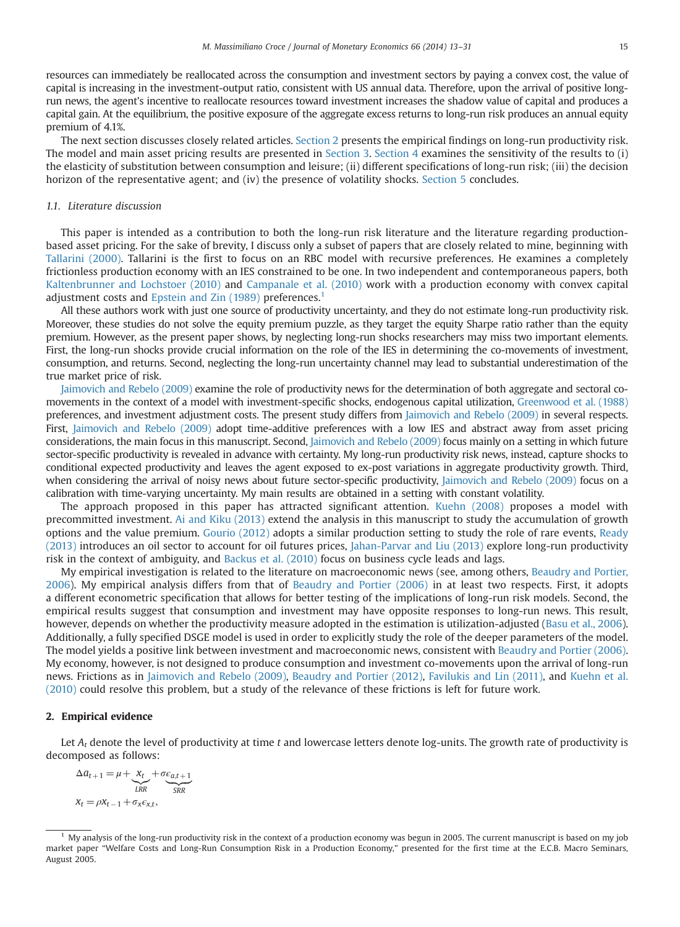<span id="page-2-0"></span>resources can immediately be reallocated across the consumption and investment sectors by paying a convex cost, the value of capital is increasing in the investment-output ratio, consistent with US annual data. Therefore, upon the arrival of positive longrun news, the agent's incentive to reallocate resources toward investment increases the shadow value of capital and produces a capital gain. At the equilibrium, the positive exposure of the aggregate excess returns to long-run risk produces an annual equity premium of 4.1%.

The next section discusses closely related articles. Section 2 presents the empirical findings on long-run productivity risk. The model and main asset pricing results are presented in [Section 3.](#page-7-0) [Section 4](#page-14-0) examines the sensitivity of the results to (i) the elasticity of substitution between consumption and leisure; (ii) different specifications of long-run risk; (iii) the decision horizon of the representative agent; and (iv) the presence of volatility shocks. [Section 5](#page-16-0) concludes.

#### 1.1. Literature discussion

This paper is intended as a contribution to both the long-run risk literature and the literature regarding productionbased asset pricing. For the sake of brevity, I discuss only a subset of papers that are closely related to mine, beginning with [Tallarini \(2000\).](#page-18-0) Tallarini is the first to focus on an RBC model with recursive preferences. He examines a completely frictionless production economy with an IES constrained to be one. In two independent and contemporaneous papers, both [Kaltenbrunner and Lochstoer \(2010\)](#page-18-0) and [Campanale et al. \(2010\)](#page-18-0) work with a production economy with convex capital adjustment costs and [Epstein and Zin \(1989\)](#page-18-0) preferences.<sup>1</sup>

All these authors work with just one source of productivity uncertainty, and they do not estimate long-run productivity risk. Moreover, these studies do not solve the equity premium puzzle, as they target the equity Sharpe ratio rather than the equity premium. However, as the present paper shows, by neglecting long-run shocks researchers may miss two important elements. First, the long-run shocks provide crucial information on the role of the IES in determining the co-movements of investment, consumption, and returns. Second, neglecting the long-run uncertainty channel may lead to substantial underestimation of the true market price of risk.

[Jaimovich and Rebelo \(2009\)](#page-18-0) examine the role of productivity news for the determination of both aggregate and sectoral comovements in the context of a model with investment-specific shocks, endogenous capital utilization, [Greenwood et al. \(1988\)](#page-18-0) preferences, and investment adjustment costs. The present study differs from [Jaimovich and Rebelo \(2009\)](#page-18-0) in several respects. First, [Jaimovich and Rebelo \(2009\)](#page-18-0) adopt time-additive preferences with a low IES and abstract away from asset pricing considerations, the main focus in this manuscript. Second, [Jaimovich and Rebelo \(2009\)](#page-18-0) focus mainly on a setting in which future sector-specific productivity is revealed in advance with certainty. My long-run productivity risk news, instead, capture shocks to conditional expected productivity and leaves the agent exposed to ex-post variations in aggregate productivity growth. Third, when considering the arrival of noisy news about future sector-specific productivity, [Jaimovich and Rebelo \(2009\)](#page-18-0) focus on a calibration with time-varying uncertainty. My main results are obtained in a setting with constant volatility.

The approach proposed in this paper has attracted significant attention. [Kuehn \(2008\)](#page-18-0) proposes a model with precommitted investment. [Ai and Kiku \(2013\)](#page-18-0) extend the analysis in this manuscript to study the accumulation of growth options and the value premium. [Gourio \(2012\)](#page-18-0) adopts a similar production setting to study the role of rare events, [Ready](#page-18-0) [\(2013\)](#page-18-0) introduces an oil sector to account for oil futures prices, [Jahan-Parvar and Liu \(2013\)](#page-18-0) explore long-run productivity risk in the context of ambiguity, and [Backus et al. \(2010\)](#page-18-0) focus on business cycle leads and lags.

My empirical investigation is related to the literature on macroeconomic news (see, among others, [Beaudry and Portier,](#page-18-0) [2006](#page-18-0)). My empirical analysis differs from that of [Beaudry and Portier \(2006\)](#page-18-0) in at least two respects. First, it adopts a different econometric specification that allows for better testing of the implications of long-run risk models. Second, the empirical results suggest that consumption and investment may have opposite responses to long-run news. This result, however, depends on whether the productivity measure adopted in the estimation is utilization-adjusted [\(Basu et al., 2006](#page-18-0)). Additionally, a fully specified DSGE model is used in order to explicitly study the role of the deeper parameters of the model. The model yields a positive link between investment and macroeconomic news, consistent with [Beaudry and Portier \(2006\)](#page-18-0). My economy, however, is not designed to produce consumption and investment co-movements upon the arrival of long-run news. Frictions as in [Jaimovich and Rebelo \(2009\)](#page-18-0), [Beaudry and Portier \(2012\)](#page-18-0), [Favilukis and Lin \(2011\),](#page-18-0) and [Kuehn et al.](#page-18-0) [\(2010\)](#page-18-0) could resolve this problem, but a study of the relevance of these frictions is left for future work.

#### 2. Empirical evidence

Let  $A_t$  denote the level of productivity at time t and lowercase letters denote log-units. The growth rate of productivity is decomposed as follows:

$$
\Delta a_{t+1} = \mu + \underbrace{\chi_t}_{LRR} + \underbrace{\sigma \epsilon_{a,t+1}}_{SRR}
$$

$$
\chi_t = \rho \chi_{t-1} + \sigma_{\chi} \epsilon_{\chi,t},
$$

<sup>1</sup> My analysis of the long-run productivity risk in the context of a production economy was begun in 2005. The current manuscript is based on my job market paper "Welfare Costs and Long-Run Consumption Risk in a Production Economy," presented for the first time at the E.C.B. Macro Seminars, August 2005.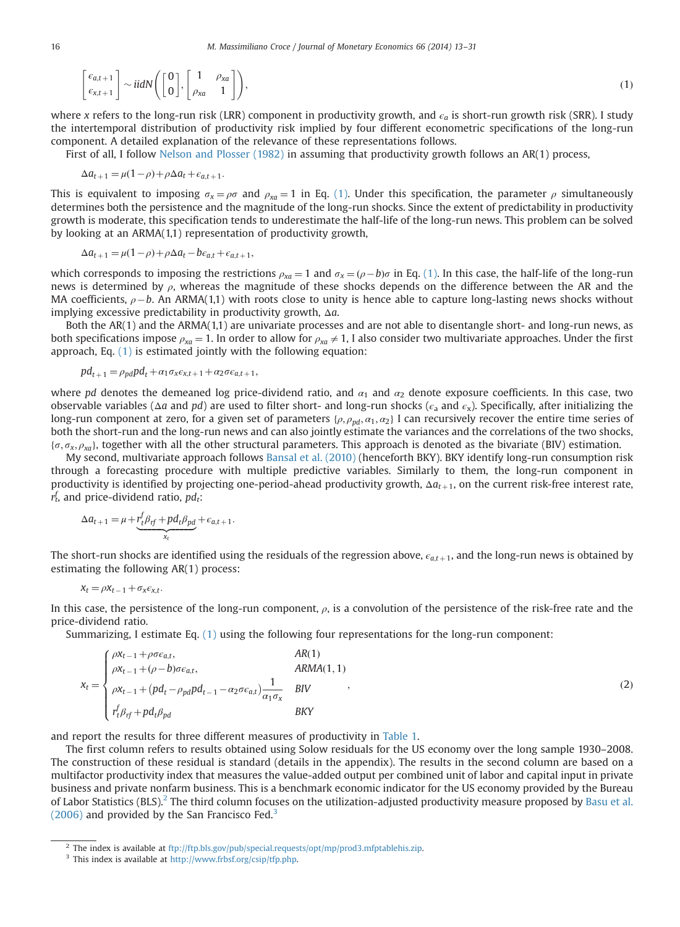<span id="page-3-0"></span>
$$
\begin{bmatrix} \epsilon_{a,t+1} \\ \epsilon_{x,t+1} \end{bmatrix} \sim i i dN \left( \begin{bmatrix} 0 \\ 0 \end{bmatrix}, \begin{bmatrix} 1 & \rho_{xa} \\ \rho_{xa} & 1 \end{bmatrix} \right), \tag{1}
$$

where x refers to the long-run risk (LRR) component in productivity growth, and  $\epsilon_q$  is short-run growth risk (SRR). I study the intertemporal distribution of productivity risk implied by four different econometric specifications of the long-run component. A detailed explanation of the relevance of these representations follows.

First of all, I follow [Nelson and Plosser \(1982\)](#page-18-0) in assuming that productivity growth follows an AR(1) process,

$$
\Delta a_{t+1} = \mu(1-\rho) + \rho \Delta a_t + \epsilon_{a,t+1}.
$$

This is equivalent to imposing  $\sigma_x = \rho \sigma$  and  $\rho_{xa} = 1$  in Eq. [\(1\)](#page-2-0). Under this specification, the parameter  $\rho$  simultaneously determines both the persistence and the magnitude of the long-run shocks. Since the extent of predictability in productivity growth is moderate, this specification tends to underestimate the half-life of the long-run news. This problem can be solved by looking at an ARMA(1,1) representation of productivity growth,

$$
\Delta a_{t+1} = \mu(1-\rho) + \rho \Delta a_t - b\epsilon_{a,t} + \epsilon_{a,t+1},
$$

which corresponds to imposing the restrictions  $\rho_{xa} = 1$  and  $\sigma_x = (\rho - b)\sigma$  in Eq. [\(1\)](#page-2-0). In this case, the half-life of the long-run<br>pews is determined by a whereas the magnitude of these shocks depends on the difference be news is determined by  $\rho$ , whereas the magnitude of these shocks depends on the difference between the AR and the MA coefficients,  $\rho - b$ . An ARMA(1,1) with roots close to unity is hence able to capture long-lasting news shocks without implying avcessive predictability in productivity growth  $\Delta a$ implying excessive predictability in productivity growth, Δa.

Both the AR(1) and the ARMA(1,1) are univariate processes and are not able to disentangle short- and long-run news, as both specifications impose  $\rho_{xa} = 1$ . In order to allow for  $\rho_{xa} \neq 1$ , I also consider two multivariate approaches. Under the first approach, Eq. [\(1\)](#page-2-0) is estimated jointly with the following equation:

$$
pd_{t+1} = \rho_{pd}pd_t + \alpha_1 \sigma_x \epsilon_{x,t+1} + \alpha_2 \sigma \epsilon_{a,t+1},
$$

where pd denotes the demeaned log price-dividend ratio, and  $\alpha_1$  and  $\alpha_2$  denote exposure coefficients. In this case, two observable variables ( $\Delta a$  and  $pd$ ) are used to filter short- and long-run shocks ( $\epsilon_a$  and  $\epsilon_x$ ). Specifically, after initializing the long-run component at zero, for a given set of parameters  $\{\rho$ ,  $\rho_{nd}$ ,  $\alpha_1$ ,  $\alpha_2\}$  I can recursively recover the entire time series of both the short-run and the long-run news and can also jointly estimate the variances and the correlations of the two shocks,  $\{\sigma, \sigma_x, \rho_{xa}\}$ , together with all the other structural parameters. This approach is denoted as the bivariate (BIV) estimation.

My second, multivariate approach follows [Bansal et al. \(2010\)](#page-18-0) (henceforth BKY). BKY identify long-run consumption risk through a forecasting procedure with multiple predictive variables. Similarly to them, the long-run component in productivity is identified by projecting one-period-ahead productivity growth,  $\Delta a_{t+1}$ , on the current risk-free interest rate,  $r_t^f$ , and price-dividend ratio,  $pd_t$ :

$$
\Delta a_{t+1} = \mu + \underbrace{r_t^f \beta_{rf} + p d_t \beta_{pd}}_{x_t} + \epsilon_{a,t+1}.
$$

The short-run shocks are identified using the residuals of the regression above,  $\epsilon_{a,t+1}$ , and the long-run news is obtained by estimating the following AR(1) process:

$$
x_t = \rho x_{t-1} + \sigma_x \epsilon_{x,t}.
$$

In this case, the persistence of the long-run component,  $\rho$ , is a convolution of the persistence of the risk-free rate and the price-dividend ratio.

Summarizing, I estimate Eq. [\(1\)](#page-2-0) using the following four representations for the long-run component:

$$
x_{t} = \begin{cases} \rho x_{t-1} + \rho \sigma \epsilon_{a,t}, & AR(1) \\ \rho x_{t-1} + (\rho - b) \sigma \epsilon_{a,t}, & ARMA(1, 1) \\ \rho x_{t-1} + (pd_{t} - \rho_{pd}pd_{t-1} - \alpha_{2} \sigma \epsilon_{a,t}) \frac{1}{\alpha_{1} \sigma_{x}} & BRV \\ r_{t}^{f} \beta_{rf} + pd_{t} \beta_{pd} & BKY \end{cases}
$$
(2)

and report the results for three different measures of productivity in [Table 1](#page-4-0).

The first column refers to results obtained using Solow residuals for the US economy over the long sample 1930–2008. The construction of these residual is standard (details in the appendix). The results in the second column are based on a multifactor productivity index that measures the value-added output per combined unit of labor and capital input in private business and private nonfarm business. This is a benchmark economic indicator for the US economy provided by the Bureau of Labor Statistics (BLS).<sup>2</sup> The third column focuses on the utilization-adjusted productivity measure proposed by [Basu et al.](#page-18-0)  $(2006)$  and provided by the San Francisco Fed.<sup>3</sup>

<sup>&</sup>lt;sup>2</sup> The index is available at <ftp://ftp.bls.gov/pub/special.requests/opt/mp/prod3.mfptablehis.zip>.

<sup>3</sup> This index is available at [http://www.frbsf.org/csip/tfp.php.](http://www.frbsf.org/csip/tfp.php)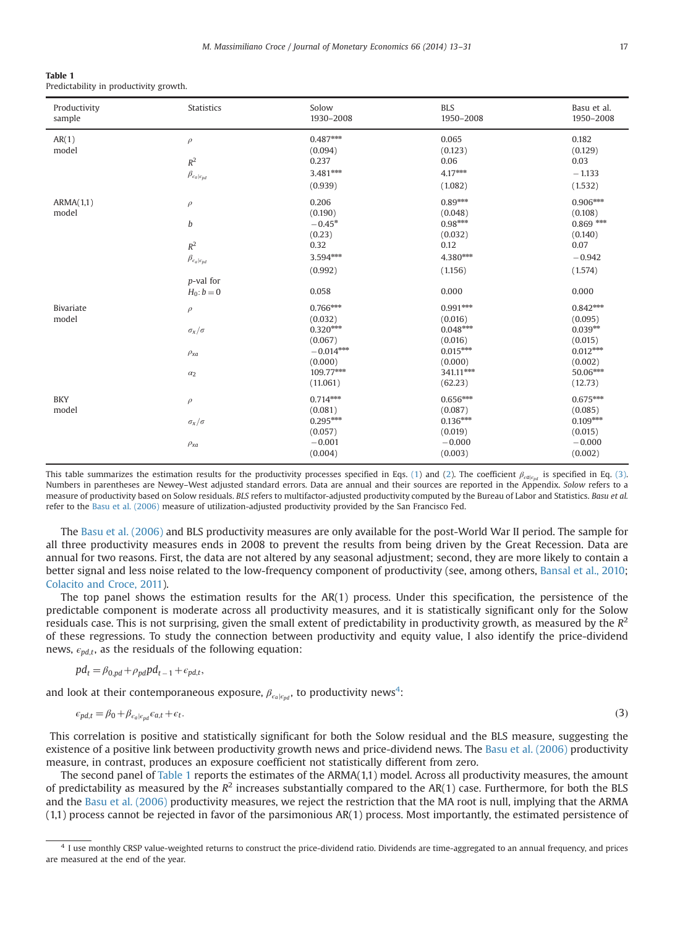<span id="page-4-0"></span>

| Table 1                                |  |
|----------------------------------------|--|
| Predictability in productivity growth. |  |

| Productivity<br>sample    | <b>Statistics</b>                                                                                                       | Solow<br>1930-2008                                                                                | <b>BLS</b><br>1950-2008                                                                         | Basu et al.<br>1950-2008                                                                      |
|---------------------------|-------------------------------------------------------------------------------------------------------------------------|---------------------------------------------------------------------------------------------------|-------------------------------------------------------------------------------------------------|-----------------------------------------------------------------------------------------------|
| AR(1)<br>model            | $\rho$<br>$\mathbb{R}^2$<br>$\beta_{\epsilon_{a} \epsilon_{pd}}$                                                        | $0.487***$<br>(0.094)<br>0.237<br>3.481***<br>(0.939)                                             | 0.065<br>(0.123)<br>0.06<br>$4.17***$<br>(1.082)                                                | 0.182<br>(0.129)<br>0.03<br>$-1.133$<br>(1.532)                                               |
| ARMA(1,1)<br>model        | $\rho$<br>$\boldsymbol{b}$<br>$\mathbb{R}^2$<br>$\beta_{\epsilon_{a} \epsilon_{pd}}$<br>$p$ -val for<br>$H_0$ : $b = 0$ | 0.206<br>(0.190)<br>$-0.45*$<br>(0.23)<br>0.32<br>$3.594***$<br>(0.992)<br>0.058                  | $0.89***$<br>(0.048)<br>$0.98***$<br>(0.032)<br>0.12<br>4.380***<br>(1.156)<br>0.000            | 0.906***<br>(0.108)<br>$0.869***$<br>(0.140)<br>0.07<br>$-0.942$<br>(1.574)<br>0.000          |
| <b>Bivariate</b><br>model | $\rho$<br>$\sigma_{\text{X}}/\sigma$<br>$\rho_{xa}$<br>$\alpha_2$                                                       | $0.766***$<br>(0.032)<br>$0.320***$<br>(0.067)<br>$-0.014***$<br>(0.000)<br>109.77***<br>(11.061) | $0.991***$<br>(0.016)<br>$0.048***$<br>(0.016)<br>$0.015***$<br>(0.000)<br>341.11***<br>(62.23) | $0.842***$<br>(0.095)<br>$0.039**$<br>(0.015)<br>$0.012***$<br>(0.002)<br>50.06***<br>(12.73) |
| <b>BKY</b><br>model       | $\rho$<br>$\sigma_x/\sigma$<br>$\rho_{xa}$                                                                              | $0.714***$<br>(0.081)<br>$0.295***$<br>(0.057)<br>$-0.001$<br>(0.004)                             | $0.656***$<br>(0.087)<br>$0.136***$<br>(0.019)<br>$-0.000$<br>(0.003)                           | $0.675***$<br>(0.085)<br>$0.109***$<br>(0.015)<br>$-0.000$<br>(0.002)                         |

This table summarizes the estimation results for the productivity processes specified in Eqs. [\(1\)](#page-2-0) and [\(2](#page-3-0)). The coefficient  $\beta_{\text{calc},\omega}$  is specified in Eq. (3). Numbers in parentheses are Newey–West adjusted standard errors. Data are annual and their sources are reported in the Appendix. Solow refers to a measure of productivity based on Solow residuals. BLS refers to multifactor-adjusted productivity computed by the Bureau of Labor and Statistics. Basu et al. refer to the [Basu et al. \(2006\)](#page-18-0) measure of utilization-adjusted productivity provided by the San Francisco Fed.

The [Basu et al. \(2006\)](#page-18-0) and BLS productivity measures are only available for the post-World War II period. The sample for all three productivity measures ends in 2008 to prevent the results from being driven by the Great Recession. Data are annual for two reasons. First, the data are not altered by any seasonal adjustment; second, they are more likely to contain a better signal and less noise related to the low-frequency component of productivity (see, among others, [Bansal et al., 2010](#page-18-0); [Colacito and Croce, 2011](#page-18-0)).

The top panel shows the estimation results for the  $AR(1)$  process. Under this specification, the persistence of the predictable component is moderate across all productivity measures, and it is statistically significant only for the Solow residuals case. This is not surprising, given the small extent of predictability in productivity growth, as measured by the  $R^2$ of these regressions. To study the connection between productivity and equity value, I also identify the price-dividend news,  $\epsilon_{pd,t}$ , as the residuals of the following equation:

$$
pd_t = \beta_{0,pd} + \rho_{pd}pd_{t-1} + \epsilon_{pd,t},
$$

and look at their contemporaneous exposure,  $\beta_{\varepsilon_a|\varepsilon_{pd}},$  to productivity news<sup>4</sup>:

$$
\epsilon_{pd,t} = \beta_0 + \beta_{\epsilon_a|\epsilon_{pd}} \epsilon_{a,t} + \epsilon_t. \tag{3}
$$

This correlation is positive and statistically significant for both the Solow residual and the BLS measure, suggesting the existence of a positive link between productivity growth news and price-dividend news. The [Basu et al. \(2006\)](#page-18-0) productivity measure, in contrast, produces an exposure coefficient not statistically different from zero.

The second panel of Table 1 reports the estimates of the ARMA(1,1) model. Across all productivity measures, the amount of predictability as measured by the  $R^2$  increases substantially compared to the AR(1) case. Furthermore, for both the BLS and the [Basu et al. \(2006\)](#page-18-0) productivity measures, we reject the restriction that the MA root is null, implying that the ARMA (1,1) process cannot be rejected in favor of the parsimonious AR(1) process. Most importantly, the estimated persistence of

<sup>4</sup> I use monthly CRSP value-weighted returns to construct the price-dividend ratio. Dividends are time-aggregated to an annual frequency, and prices are measured at the end of the year.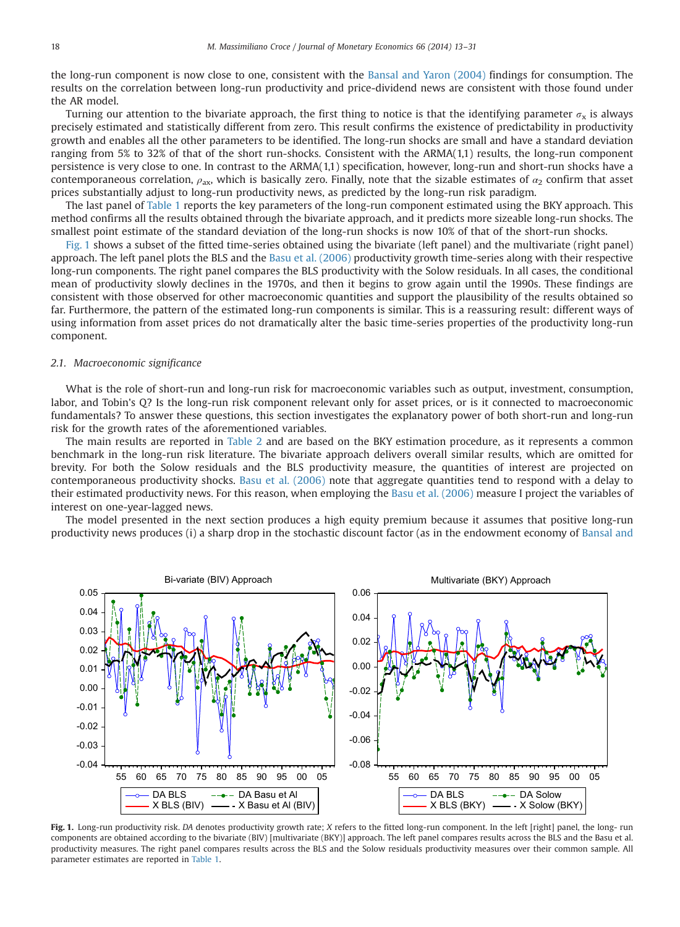the long-run component is now close to one, consistent with the [Bansal and Yaron \(2004\)](#page-18-0) findings for consumption. The results on the correlation between long-run productivity and price-dividend news are consistent with those found under the AR model.

Turning our attention to the bivariate approach, the first thing to notice is that the identifying parameter  $\sigma_x$  is always precisely estimated and statistically different from zero. This result confirms the existence of predictability in productivity growth and enables all the other parameters to be identified. The long-run shocks are small and have a standard deviation ranging from 5% to 32% of that of the short run-shocks. Consistent with the ARMA(1,1) results, the long-run component persistence is very close to one. In contrast to the ARMA(1,1) specification, however, long-run and short-run shocks have a contemporaneous correlation,  $\rho_{ax}$ , which is basically zero. Finally, note that the sizable estimates of  $\alpha_2$  confirm that asset prices substantially adjust to long-run productivity news, as predicted by the long-run risk paradigm.

The last panel of [Table 1](#page-4-0) reports the key parameters of the long-run component estimated using the BKY approach. This method confirms all the results obtained through the bivariate approach, and it predicts more sizeable long-run shocks. The smallest point estimate of the standard deviation of the long-run shocks is now 10% of that of the short-run shocks.

Fig. 1 shows a subset of the fitted time-series obtained using the bivariate (left panel) and the multivariate (right panel) approach. The left panel plots the BLS and the [Basu et al. \(2006\)](#page-18-0) productivity growth time-series along with their respective long-run components. The right panel compares the BLS productivity with the Solow residuals. In all cases, the conditional mean of productivity slowly declines in the 1970s, and then it begins to grow again until the 1990s. These findings are consistent with those observed for other macroeconomic quantities and support the plausibility of the results obtained so far. Furthermore, the pattern of the estimated long-run components is similar. This is a reassuring result: different ways of using information from asset prices do not dramatically alter the basic time-series properties of the productivity long-run component.

#### 2.1. Macroeconomic significance

What is the role of short-run and long-run risk for macroeconomic variables such as output, investment, consumption, labor, and Tobin's Q? Is the long-run risk component relevant only for asset prices, or is it connected to macroeconomic fundamentals? To answer these questions, this section investigates the explanatory power of both short-run and long-run risk for the growth rates of the aforementioned variables.

The main results are reported in [Table 2](#page-6-0) and are based on the BKY estimation procedure, as it represents a common benchmark in the long-run risk literature. The bivariate approach delivers overall similar results, which are omitted for brevity. For both the Solow residuals and the BLS productivity measure, the quantities of interest are projected on contemporaneous productivity shocks. [Basu et al. \(2006\)](#page-18-0) note that aggregate quantities tend to respond with a delay to their estimated productivity news. For this reason, when employing the [Basu et al. \(2006\)](#page-18-0) measure I project the variables of interest on one-year-lagged news.

The model presented in the next section produces a high equity premium because it assumes that positive long-run productivity news produces (i) a sharp drop in the stochastic discount factor (as in the endowment economy of [Bansal and](#page-18-0)



Fig. 1. Long-run productivity risk. DA denotes productivity growth rate; X refers to the fitted long-run component. In the left [right] panel, the long-run components are obtained according to the bivariate (BIV) [multivariate (BKY)] approach. The left panel compares results across the BLS and the Basu et al. productivity measures. The right panel compares results across the BLS and the Solow residuals productivity measures over their common sample. All parameter estimates are reported in [Table 1.](#page-4-0)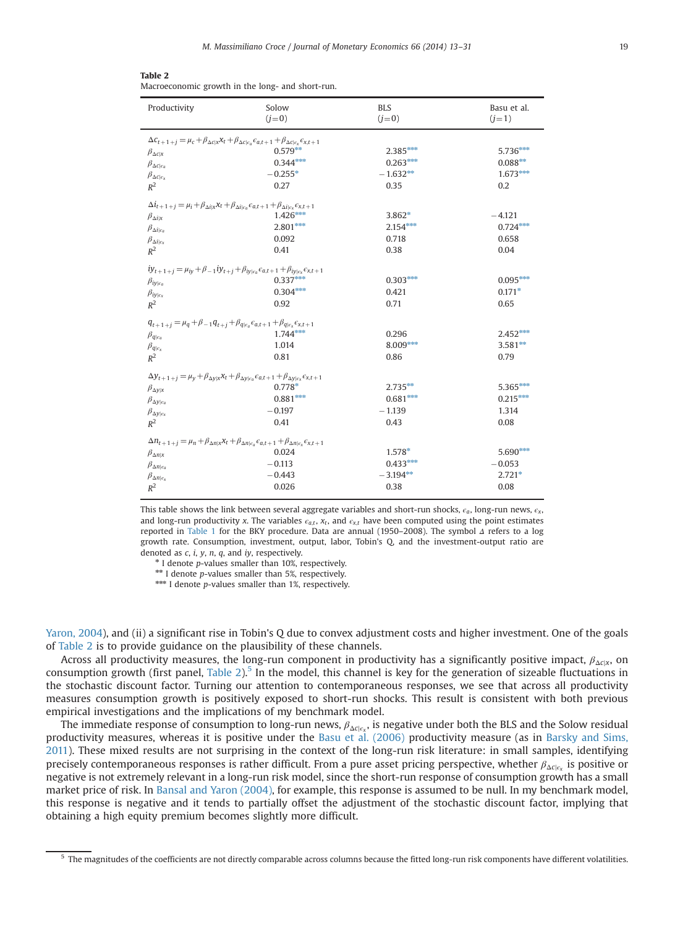| Productivity                                                                                                                                         | Solow<br>$(j=0)$                                                                                                                                          | <b>BLS</b><br>$(j=0)$ | Basu et al.<br>$(j=1)$ |  |
|------------------------------------------------------------------------------------------------------------------------------------------------------|-----------------------------------------------------------------------------------------------------------------------------------------------------------|-----------------------|------------------------|--|
|                                                                                                                                                      | $\Delta C_{t+1+j} = \mu_c + \beta_{\Delta C   X} X_t + \beta_{\Delta C   \epsilon_a} \epsilon_{a,t+1} + \beta_{\Delta C   \epsilon_X} \epsilon_{X,t+1}$   |                       |                        |  |
| $\beta_{\Delta C X}$                                                                                                                                 | $0.579***$                                                                                                                                                | 2.385***              | $5.736***$             |  |
| $\beta_{\Delta\mathcal{C} \epsilon_{a}}$                                                                                                             | $0.344***$                                                                                                                                                | $0.263***$            | $0.088**$              |  |
| $\beta_{\Delta C}\varepsilon_{\rm v}$                                                                                                                | $-0.255*$                                                                                                                                                 | $-1.632**$            | $1.673***$             |  |
| $R^2$                                                                                                                                                | 0.27                                                                                                                                                      | 0.35                  | 0.2                    |  |
| $\Delta i_{t+1+j} = \mu_i + \beta_{\Delta i x} \chi_t + \beta_{\Delta i \epsilon_a} \epsilon_{a,t+1} + \beta_{\Delta i \epsilon_x} \epsilon_{x,t+1}$ |                                                                                                                                                           |                       |                        |  |
| $\beta_{\Delta i x}$                                                                                                                                 | 1.426***                                                                                                                                                  | 3.862*                | $-4.121$               |  |
| $\beta_{\Delta i \epsilon_{a}}$                                                                                                                      | $2.801***$                                                                                                                                                | $2.154***$            | $0.724***$             |  |
| $\beta_{\Delta i} _{\epsilon_{\rm X}}$                                                                                                               | 0.092                                                                                                                                                     | 0.718                 | 0.658                  |  |
| $R^2$                                                                                                                                                | 0.41                                                                                                                                                      | 0.38                  | 0.04                   |  |
|                                                                                                                                                      | $iy_{t+1+j} = \mu_{iy} + \beta_{-1} iy_{t+j} + \beta_{iy \epsilon_a} \epsilon_{a,t+1} + \beta_{iy \epsilon_x} \epsilon_{x,t+1}$                           |                       |                        |  |
| $\beta_{iy \epsilon_a}$                                                                                                                              | $0.337***$                                                                                                                                                | $0.303***$            | $0.095***$             |  |
| $\beta_{iy \epsilon_x}$                                                                                                                              | $0.304***$                                                                                                                                                | 0.421                 | $0.171*$               |  |
| $R^2$                                                                                                                                                | 0.92                                                                                                                                                      | 0.71                  | 0.65                   |  |
| $q_{t+1+j} = \mu_q + \beta_{-1} q_{t+j} + \beta_{q _{\epsilon_a}} \epsilon_{a,t+1} + \beta_{q _{\epsilon_x}} \epsilon_{x,t+1}$                       |                                                                                                                                                           |                       |                        |  |
| $\beta_{q \epsilon_{a}}$                                                                                                                             | $1.744***$                                                                                                                                                | 0.296                 | $2.452***$             |  |
| $\beta_{q \epsilon_x}$                                                                                                                               | 1.014                                                                                                                                                     | 8.009***              | $3.581***$             |  |
| $R^2$                                                                                                                                                | 0.81                                                                                                                                                      | 0.86                  | 0.79                   |  |
|                                                                                                                                                      | $\Delta y_{t+1+j} = \mu_{y} + \beta_{\Delta y x} x_{t} + \beta_{\Delta y \epsilon_{a}} \epsilon_{a,t+1} + \beta_{\Delta y \epsilon_{x}} \epsilon_{x,t+1}$ |                       |                        |  |
| $\beta_{\Delta y x}$                                                                                                                                 | $0.778*$                                                                                                                                                  | $2.735***$            | 5.365***               |  |
| $\beta_{\Delta y  \epsilon_a}$                                                                                                                       | $0.881***$                                                                                                                                                | $0.681***$            | $0.215***$             |  |
| $\beta_{\Delta y _{\epsilon_x}}$                                                                                                                     | $-0.197$                                                                                                                                                  | $-1.139$              | 1.314                  |  |
| $R^2$                                                                                                                                                | 0.41                                                                                                                                                      | 0.43                  | 0.08                   |  |
|                                                                                                                                                      | $\Delta n_{t+1+j} = \mu_n + \beta_{\Delta n x} x_t + \beta_{\Delta n \epsilon_n} \epsilon_{a,t+1} + \beta_{\Delta n \epsilon_n} \epsilon_{x,t+1}$         |                       |                        |  |
| $\beta_{\Delta n x}$                                                                                                                                 | 0.024                                                                                                                                                     | $1.578*$              | 5.690***               |  |
| $\beta_{\Delta n \epsilon_a}$                                                                                                                        | $-0.113$                                                                                                                                                  | $0.433***$            | $-0.053$               |  |
| $\beta_{\Delta n \epsilon_x}$                                                                                                                        | $-0.443$                                                                                                                                                  | $-3.194**$            | $2.721*$               |  |
| $R^2$                                                                                                                                                | 0.026                                                                                                                                                     | 0.38                  | 0.08                   |  |

<span id="page-6-0"></span>

| Table 2                                          |  |  |  |
|--------------------------------------------------|--|--|--|
| Macroeconomic growth in the long- and short-run. |  |  |  |

This table shows the link between several aggregate variables and short-run shocks,  $\epsilon_a$ , long-run news,  $\epsilon_x$ , and long-run productivity x. The variables  $\epsilon_{a,t}$ ,  $x_t$ , and  $\epsilon_{x,t}$  have been computed using the point estimates reported in [Table 1](#page-4-0) for the BKY procedure. Data are annual (1950–2008). The symbol Δ refers to a log growth rate. Consumption, investment, output, labor, Tobin's Q, and the investment-output ratio are denoted as  $c$ ,  $i$ ,  $y$ ,  $n$ ,  $q$ , and  $iy$ , respectively.

\* I denote *p*-values smaller than 10%, respectively.

 $*$  I denote p-values smaller than 5%, respectively.

 $***$  I denote p-values smaller than 1%, respectively.

[Yaron, 2004](#page-18-0)), and (ii) a significant rise in Tobin's Q due to convex adjustment costs and higher investment. One of the goals of Table 2 is to provide guidance on the plausibility of these channels.

Across all productivity measures, the long-run component in productivity has a significantly positive impact,  $\beta_{\Delta C|X}$ , on consumption growth (first panel, Table 2).<sup>5</sup> In the model, this channel is key for the generation of sizeable fluctuations in the stochastic discount factor. Turning our attention to contemporaneous responses, we see that across all productivity measures consumption growth is positively exposed to short-run shocks. This result is consistent with both previous empirical investigations and the implications of my benchmark model.

The immediate response of consumption to long-run news,  $\beta_{\Delta C|c}$ , is negative under both the BLS and the Solow residual productivity measures, whereas it is positive under the [Basu et al. \(2006\)](#page-18-0) productivity measure (as in [Barsky and Sims,](#page-18-0) [2011\)](#page-18-0). These mixed results are not surprising in the context of the long-run risk literature: in small samples, identifying precisely contemporaneous responses is rather difficult. From a pure asset pricing perspective, whether  $\beta_{\Delta C|c_x}$  is positive or negative is not extremely relevant in a long-run risk model, since the short-run response of consumption growth has a small market price of risk. In [Bansal and Yaron \(2004\),](#page-18-0) for example, this response is assumed to be null. In my benchmark model, this response is negative and it tends to partially offset the adjustment of the stochastic discount factor, implying that obtaining a high equity premium becomes slightly more difficult.

<sup>5</sup> The magnitudes of the coefficients are not directly comparable across columns because the fitted long-run risk components have different volatilities.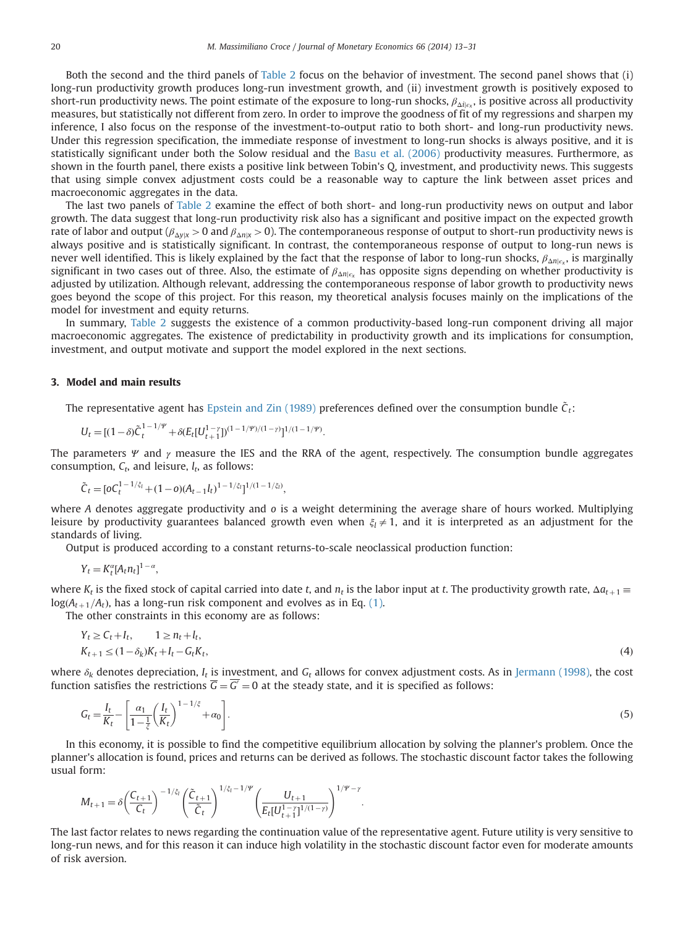<span id="page-7-0"></span>Both the second and the third panels of [Table 2](#page-6-0) focus on the behavior of investment. The second panel shows that (i) long-run productivity growth produces long-run investment growth, and (ii) investment growth is positively exposed to short-run productivity news. The point estimate of the exposure to long-run shocks,  $\beta_{\Delta i}$ <sub> $\epsilon$ </sub>, is positive across all productivity measures, but statistically not different from zero. In order to improve the goodness of fit of my regressions and sharpen my inference, I also focus on the response of the investment-to-output ratio to both short- and long-run productivity news. Under this regression specification, the immediate response of investment to long-run shocks is always positive, and it is statistically significant under both the Solow residual and the [Basu et al. \(2006\)](#page-18-0) productivity measures. Furthermore, as shown in the fourth panel, there exists a positive link between Tobin's Q, investment, and productivity news. This suggests that using simple convex adjustment costs could be a reasonable way to capture the link between asset prices and macroeconomic aggregates in the data.

The last two panels of [Table 2](#page-6-0) examine the effect of both short- and long-run productivity news on output and labor growth. The data suggest that long-run productivity risk also has a significant and positive impact on the expected growth rate of labor and output ( $\beta_{\Delta V|X}>0$  and  $\beta_{\Delta n|X}>0$ ). The contemporaneous response of output to short-run productivity news is always positive and is statistically significant. In contrast, the contemporaneous response of output to long-run news is never well identified. This is likely explained by the fact that the response of labor to long-run shocks,  $\beta_{\text{Alice}}$ , is marginally significant in two cases out of three. Also, the estimate of  $\beta_{\Delta n|c_x}$  has opposite signs depending on whether productivity is adjusted by utilization. Although relevant, addressing the contemporaneous response of labor growth to productivity news goes beyond the scope of this project. For this reason, my theoretical analysis focuses mainly on the implications of the model for investment and equity returns.

In summary, [Table 2](#page-6-0) suggests the existence of a common productivity-based long-run component driving all major macroeconomic aggregates. The existence of predictability in productivity growth and its implications for consumption, investment, and output motivate and support the model explored in the next sections.

#### 3. Model and main results

The representative agent has [Epstein and Zin \(1989\)](#page-18-0) preferences defined over the consumption bundle  $\tilde{c}_t$ :

$$
U_t = [(1-\delta)\tilde{C}_t^{1-1/\Psi} + \delta(E_t[U_{t+1}^{1-\gamma}])^{(1-1/\Psi)/(1-\gamma)}]^{1/(1-1/\Psi)}.
$$

The parameters  $\Psi$  and  $\gamma$  measure the IES and the RRA of the agent, respectively. The consumption bundle aggregates consumption,  $C_t$ , and leisure,  $l_t$ , as follows:

$$
\tilde{C}_t = [oC_t^{1-1/\xi_l} + (1-o)(A_{t-1}l_t)^{1-1/\xi_l}]^{1/(1-1/\xi_l)},
$$

where A denotes aggregate productivity and o is a weight determining the average share of hours worked. Multiplying leisure by productivity guarantees balanced growth even when  $\xi_l \neq 1$ , and it is interpreted as an adjustment for the standards of living.

Output is produced according to a constant returns-to-scale neoclassical production function:

$$
Y_t = K_t^{\alpha} [A_t n_t]^{1-\alpha},
$$

where K<sub>t</sub> is the fixed stock of capital carried into date t, and  $n_t$  is the labor input at t. The productivity growth rate,  $\Delta a_{t+1}$  $log(A_{t+1}/A_t)$ , has a long-run risk component and evolves as in Eq. [\(1\)](#page-2-0).

The other constraints in this economy are as follows:

$$
Y_t \ge C_t + I_t, \qquad 1 \ge n_t + I_t,
$$
  

$$
K_{t+1} \le (1 - \delta_k)K_t + I_t - G_tK_t,
$$
  
(4)

where  $\delta_k$  denotes depreciation,  $I_t$  is investment, and  $G_t$  allows for convex adjustment costs. As in [Jermann \(1998\)](#page-18-0), the cost function satisfies the restrictions  $\overline{G} = \overline{G} = 0$  at the steady state, and it is specified as follows:

$$
G_t = \frac{I_t}{K_t} - \left[ \frac{\alpha_1}{1 - \frac{1}{\xi}} \left( \frac{I_t}{K_t} \right)^{1 - 1/\xi} + \alpha_0 \right].
$$
 (5)

In this economy, it is possible to find the competitive equilibrium allocation by solving the planner's problem. Once the planner's allocation is found, prices and returns can be derived as follows. The stochastic discount factor takes the following usual form:

$$
M_{t+1} = \delta \left(\frac{C_{t+1}}{C_t}\right)^{-1/\xi_l} \left(\frac{\tilde{C}_{t+1}}{\tilde{C}_t}\right)^{1/\xi_l - 1/\gamma} \left(\frac{U_{t+1}}{E_t[U_{t+1}^{1-\gamma_1}]} - \right)^{1/\gamma - \gamma}.
$$

The last factor relates to news regarding the continuation value of the representative agent. Future utility is very sensitive to long-run news, and for this reason it can induce high volatility in the stochastic discount factor even for moderate amounts of risk aversion.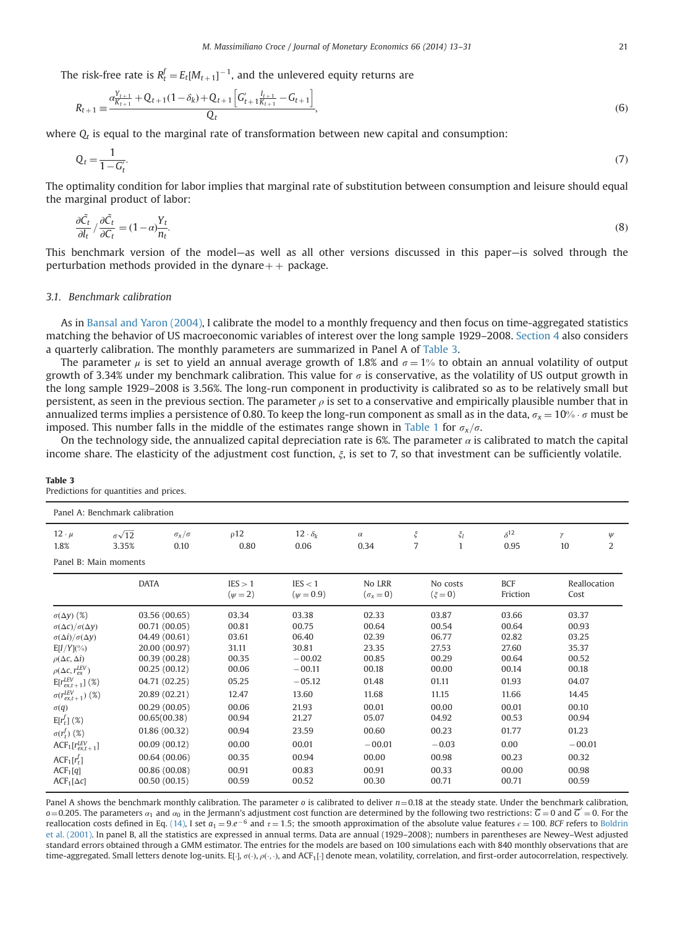<span id="page-8-0"></span>The risk-free rate is  $R_t^f = E_t[M_{t+1}]^{-1}$ , and the unlevered equity returns are

$$
R_{t+1} = \frac{\alpha_{K_{t+1}}^{Y_{t+1}} + Q_{t+1}(1 - \delta_k) + Q_{t+1} \left[ G'_{t+1} \frac{I_{t+1}}{R_{t+1}} - G_{t+1} \right]}{Q_t},
$$
\n(6)

where  $Q_t$  is equal to the marginal rate of transformation between new capital and consumption:

$$
Q_t = \frac{1}{1 - G'_t} \tag{7}
$$

The optimality condition for labor implies that marginal rate of substitution between consumption and leisure should equal the marginal product of labor:

$$
\frac{\partial \tilde{C}_t}{\partial l_t} / \frac{\partial \tilde{C}_t}{\partial C_t} = (1 - \alpha) \frac{Y_t}{n_t}.
$$
\n(8)

This benchmark version of the model—as well as all other versions discussed in this paper—is solved through the perturbation methods provided in the dynare  $p + p$  package.

#### 3.1. Benchmark calibration

As in [Bansal and Yaron \(2004\),](#page-18-0) I calibrate the model to a monthly frequency and then focus on time-aggregated statistics matching the behavior of US macroeconomic variables of interest over the long sample 1929–2008. [Section 4](#page-14-0) also considers a quarterly calibration. The monthly parameters are summarized in Panel A of Table 3.

The parameter  $\mu$  is set to yield an annual average growth of 1.8% and  $\sigma = 1\%$  to obtain an annual volatility of output growth of 3.34% under my benchmark calibration. This value for  $\sigma$  is conservative, as the volatility of US output growth in the long sample 1929–2008 is 3.56%. The long-run component in productivity is calibrated so as to be relatively small but persistent, as seen in the previous section. The parameter  $\rho$  is set to a conservative and empirically plausible number that in annualized terms implies a persistence of 0.80. To keep the long-run component as small as in the data,  $\sigma_x = 10\% \cdot \sigma$  must be imposed. This number falls in the middle of the estimates range shown in [Table 1](#page-4-0) for  $\sigma_x/\sigma$ .

On the technology side, the annualized capital depreciation rate is 6%. The parameter  $\alpha$  is calibrated to match the capital income share. The elasticity of the adjustment cost function,  $\xi$ , is set to 7, so that investment can be sufficiently volatile.

| Panel A: Benchmark calibration                                                                                                                                                                                                                                                                                                                                                                 |                            |                                                                                                                                                                                                                                     |                                                                                                                            |                                                                                                                                     |                                                                                                                               |        |                                                                                                                              |                                                                                                                           |                                                                                                                               |                          |
|------------------------------------------------------------------------------------------------------------------------------------------------------------------------------------------------------------------------------------------------------------------------------------------------------------------------------------------------------------------------------------------------|----------------------------|-------------------------------------------------------------------------------------------------------------------------------------------------------------------------------------------------------------------------------------|----------------------------------------------------------------------------------------------------------------------------|-------------------------------------------------------------------------------------------------------------------------------------|-------------------------------------------------------------------------------------------------------------------------------|--------|------------------------------------------------------------------------------------------------------------------------------|---------------------------------------------------------------------------------------------------------------------------|-------------------------------------------------------------------------------------------------------------------------------|--------------------------|
| $12 \cdot \mu$<br>1.8%                                                                                                                                                                                                                                                                                                                                                                         | $\sigma\sqrt{12}$<br>3.35% | $\sigma_x/\sigma$<br>0.10                                                                                                                                                                                                           | $\rho$ 12<br>0.80                                                                                                          | $12 \cdot \delta_k$<br>0.06                                                                                                         | $\alpha$<br>0.34                                                                                                              | ξ<br>7 | $\xi_l$<br>$\mathbf{1}$                                                                                                      | $\delta^{12}$<br>0.95                                                                                                     | γ<br>10                                                                                                                       | $\psi$<br>$\overline{2}$ |
| Panel B: Main moments                                                                                                                                                                                                                                                                                                                                                                          |                            |                                                                                                                                                                                                                                     |                                                                                                                            |                                                                                                                                     |                                                                                                                               |        |                                                                                                                              |                                                                                                                           |                                                                                                                               |                          |
|                                                                                                                                                                                                                                                                                                                                                                                                | <b>DATA</b>                |                                                                                                                                                                                                                                     | IES > 1<br>$(\psi = 2)$                                                                                                    | IES < 1<br>$(\psi = 0.9)$                                                                                                           | No LRR<br>$(\sigma_{x}=0)$                                                                                                    |        | No costs<br>$(\xi=0)$                                                                                                        | <b>BCF</b><br>Friction                                                                                                    | Cost                                                                                                                          | Reallocation             |
| $\sigma(\Delta y)$ (%)<br>$\sigma(\Delta c)/\sigma(\Delta y)$<br>$\sigma(\Delta i)/\sigma(\Delta y)$<br>$E[I/Y](\%)$<br>$\rho(\Delta \mathcal{C}, \Delta i)$<br>$\rho(\Delta c, r_{ex}^{LEV})$<br>$E[r_{ex,t+1}^{LEV}](\%)$<br>$\sigma(r_{ex,t+1}^{LEV})$ (%)<br>$\sigma(q)$<br>$E[r_t^{f}] (%)$<br>$\sigma(r_t^f)$ (%)<br>$ACF_1[r_{ex,t+1}^{LEV}]$<br>$ACF_1[r_r^f]$<br>ACF <sub>1</sub> [q] |                            | 03.56 (00.65)<br>00.71(00.05)<br>04.49 (00.61)<br>20.00 (00.97)<br>00.39 (00.28)<br>00.25(00.12)<br>04.71 (02.25)<br>20.89 (02.21)<br>00.29(00.05)<br>00.65(00.38)<br>01.86 (00.32)<br>00.09(00.12)<br>00.64(00.06)<br>00.86(00.08) | 03.34<br>00.81<br>03.61<br>31.11<br>00.35<br>00.06<br>05.25<br>12.47<br>00.06<br>00.94<br>00.94<br>00.00<br>00.35<br>00.91 | 03.38<br>00.75<br>06.40<br>30.81<br>$-00.02$<br>$-00.11$<br>$-05.12$<br>13.60<br>21.93<br>21.27<br>23.59<br>00.01<br>00.94<br>00.83 | 02.33<br>00.64<br>02.39<br>23.35<br>00.85<br>00.18<br>01.48<br>11.68<br>00.01<br>05.07<br>00.60<br>$-00.01$<br>00.00<br>00.91 |        | 03.87<br>00.54<br>06.77<br>27.53<br>00.29<br>00.00<br>01.11<br>11.15<br>00.00<br>04.92<br>00.23<br>$-0.03$<br>00.98<br>00.33 | 03.66<br>00.64<br>02.82<br>27.60<br>00.64<br>00.14<br>01.93<br>11.66<br>00.01<br>00.53<br>01.77<br>0.00<br>00.23<br>00.00 | 03.37<br>00.93<br>03.25<br>35.37<br>00.52<br>00.18<br>04.07<br>14.45<br>00.10<br>00.94<br>01.23<br>$-00.01$<br>00.32<br>00.98 |                          |

Panel A shows the benchmark monthly calibration. The parameter  $o$  is calibrated to deliver  $n=0.18$  at the steady state. Under the benchmark calibration,  $\sigma$ =0.205. The parameters  $\alpha_1$  and  $\alpha_0$  in the Jermann's adjustment cost function are determined by the following two restrictions:  $\overline{G}$  = 0 and  $\overline{G}$  = 0. For the problem for the political points of the absol reallocation costs defined in Eq. [\(14\)](#page-13-0), I set  $a_1 = 9e^{-6}$  and  $\tau = 1.5$ ; the smooth approximation of the absolute value features  $\epsilon = 100$ . BCF refers to [Boldrin](#page-18-0)<br>of al. (2001), In papel B, all the statistics are expresse [et al. \(2001\).](#page-18-0) In panel B, all the statistics are expressed in annual terms. Data are annual (1929–2008); numbers in parentheses are Newey–West adjusted standard errors obtained through a GMM estimator. The entries for the models are based on 100 simulations each with 840 monthly observations that are time-aggregated. Small letters denote log-units. E[ $\cdot$ ],  $\sigma(\cdot)$ ,  $\rho(\cdot, \cdot)$ , and ACF<sub>1</sub>[ $\cdot$ ] denote mean, volatility, correlation, and first-order autocorrelation, respectively.

Table 3 Predictions for quantities and prices.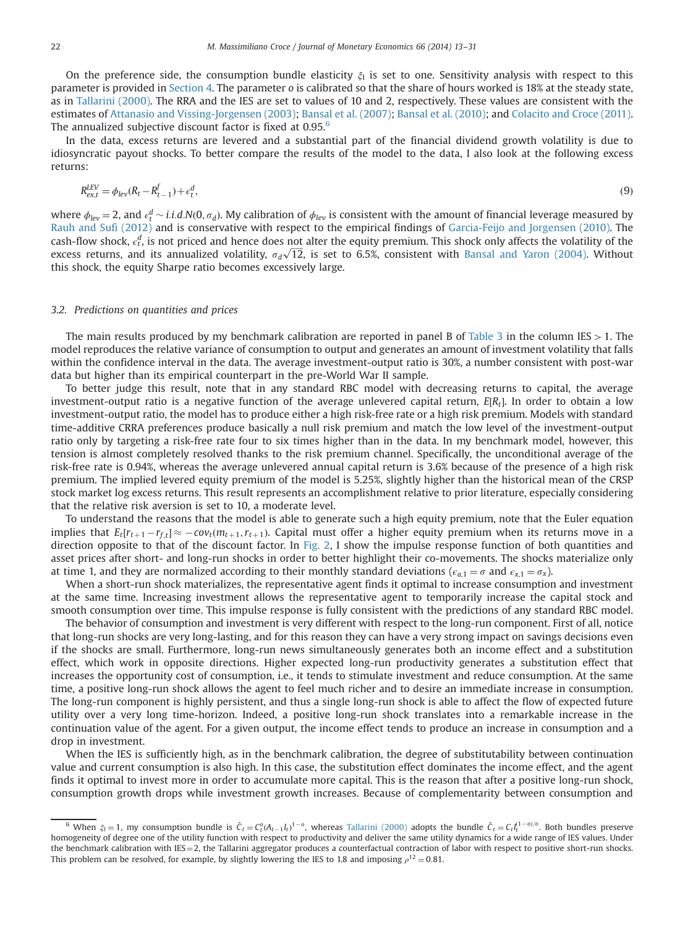On the preference side, the consumption bundle elasticity  $\xi_1$  is set to one. Sensitivity analysis with respect to this parameter is provided in [Section 4.](#page-14-0) The parameter o is calibrated so that the share of hours worked is 18% at the steady state, as in [Tallarini \(2000\)](#page-18-0). The RRA and the IES are set to values of 10 and 2, respectively. These values are consistent with the estimates of [Attanasio and Vissing-Jorgensen \(2003\);](#page-18-0) [Bansal et al. \(2007\)](#page-18-0); [Bansal et al. \(2010\);](#page-18-0) and [Colacito and Croce \(2011\)](#page-18-0). The annualized subjective discount factor is fixed at  $0.95<sup>6</sup>$ 

In the data, excess returns are levered and a substantial part of the financial dividend growth volatility is due to idiosyncratic payout shocks. To better compare the results of the model to the data, I also look at the following excess returns:

$$
R_{ex,t}^{LEV} = \phi_{lev}(R_t - R_{t-1}^f) + \epsilon_t^d,
$$
\n(9)

where  $\phi_{\text{lev}} = 2$ , and  $\epsilon_t^d \sim i.i.d.N(0, \sigma_d)$ . My calibration of  $\phi_{\text{lev}}$  is consistent with the amount of financial leverage measured by<br>Rauh and Sufi (2012) and is conservative with respect to the empirical findings o [Rauh and Sufi \(2012\)](#page-18-0) and is conservative with respect to the empirical findings of [Garcia-Feijo and Jorgensen \(2010\)](#page-18-0). The cash-flow shock,  $\epsilon_t^d$ , is not priced and hence does not alter the equity premium. This shock only affects the volatility of the excess returns, and its annualized volatility,  $\sigma_d\sqrt{12}$ , is set to 6.5%, consistent with [Bansal and Yaron \(2004\).](#page-18-0) Without this shock, the equity Sharpe ratio becomes excessively large.

#### 3.2. Predictions on quantities and prices

The main results produced by my benchmark calibration are reported in panel B of [Table 3](#page-8-0) in the column IES  $>1$ . The model reproduces the relative variance of consumption to output and generates an amount of investment volatility that falls within the confidence interval in the data. The average investment-output ratio is 30%, a number consistent with post-war data but higher than its empirical counterpart in the pre-World War II sample.

To better judge this result, note that in any standard RBC model with decreasing returns to capital, the average investment-output ratio is a negative function of the average unlevered capital return,  $E[R_t]$ . In order to obtain a low investment-output ratio, the model has to produce either a high risk-free rate or a high risk premium. Models with standard time-additive CRRA preferences produce basically a null risk premium and match the low level of the investment-output ratio only by targeting a risk-free rate four to six times higher than in the data. In my benchmark model, however, this tension is almost completely resolved thanks to the risk premium channel. Specifically, the unconditional average of the risk-free rate is 0.94%, whereas the average unlevered annual capital return is 3.6% because of the presence of a high risk premium. The implied levered equity premium of the model is 5.25%, slightly higher than the historical mean of the CRSP stock market log excess returns. This result represents an accomplishment relative to prior literature, especially considering that the relative risk aversion is set to 10, a moderate level.

To understand the reasons that the model is able to generate such a high equity premium, note that the Euler equation implies that  $E_t[r_{t+1} - r_{f,t}] \approx -\frac{cov_t(m_{t+1}, r_{t+1})}{cov_t(m_{t+1}, r_{t+1})}$ . Capital must offer a higher equity premium when its returns move in a direction opposite to that of the discount factor. In Fig. 2, I show the impulse res direction opposite to that of the discount factor. In [Fig. 2](#page-10-0), I show the impulse response function of both quantities and asset prices after short- and long-run shocks in order to better highlight their co-movements. The shocks materialize only at time 1, and they are normalized according to their monthly standard deviations ( $\epsilon_{a,1} = \sigma$  and  $\epsilon_{x,1} = \sigma_x$ ).

When a short-run shock materializes, the representative agent finds it optimal to increase consumption and investment at the same time. Increasing investment allows the representative agent to temporarily increase the capital stock and smooth consumption over time. This impulse response is fully consistent with the predictions of any standard RBC model.

The behavior of consumption and investment is very different with respect to the long-run component. First of all, notice that long-run shocks are very long-lasting, and for this reason they can have a very strong impact on savings decisions even if the shocks are small. Furthermore, long-run news simultaneously generates both an income effect and a substitution effect, which work in opposite directions. Higher expected long-run productivity generates a substitution effect that increases the opportunity cost of consumption, i.e., it tends to stimulate investment and reduce consumption. At the same time, a positive long-run shock allows the agent to feel much richer and to desire an immediate increase in consumption. The long-run component is highly persistent, and thus a single long-run shock is able to affect the flow of expected future utility over a very long time-horizon. Indeed, a positive long-run shock translates into a remarkable increase in the continuation value of the agent. For a given output, the income effect tends to produce an increase in consumption and a drop in investment.

When the IES is sufficiently high, as in the benchmark calibration, the degree of substitutability between continuation value and current consumption is also high. In this case, the substitution effect dominates the income effect, and the agent finds it optimal to invest more in order to accumulate more capital. This is the reason that after a positive long-run shock, consumption growth drops while investment growth increases. Because of complementarity between consumption and

<sup>&</sup>lt;sup>6</sup> When  $\xi_l = 1$ , my consumption bundle is  $\tilde{C}_l = C_l^0 (A_{t-1}l_t)^{1-\theta}$ , whereas [Tallarini \(2000\)](#page-18-0) adopts the bundle  $\tilde{C}_l = C_l l_1^{(1-\theta)/\theta}$ . Both bundles preserve homogeneity of degree one of the utility function with respect to productivity and deliver the same utility dynamics for a wide range of IES values. Under the benchmark calibration with IES=2, the Tallarini aggregator produces a counterfactual contraction of labor with respect to positive short-run shocks. This problem can be resolved, for example, by slightly lowering the IES to 1.8 and imposing  $\rho^{12} = 0.81$ .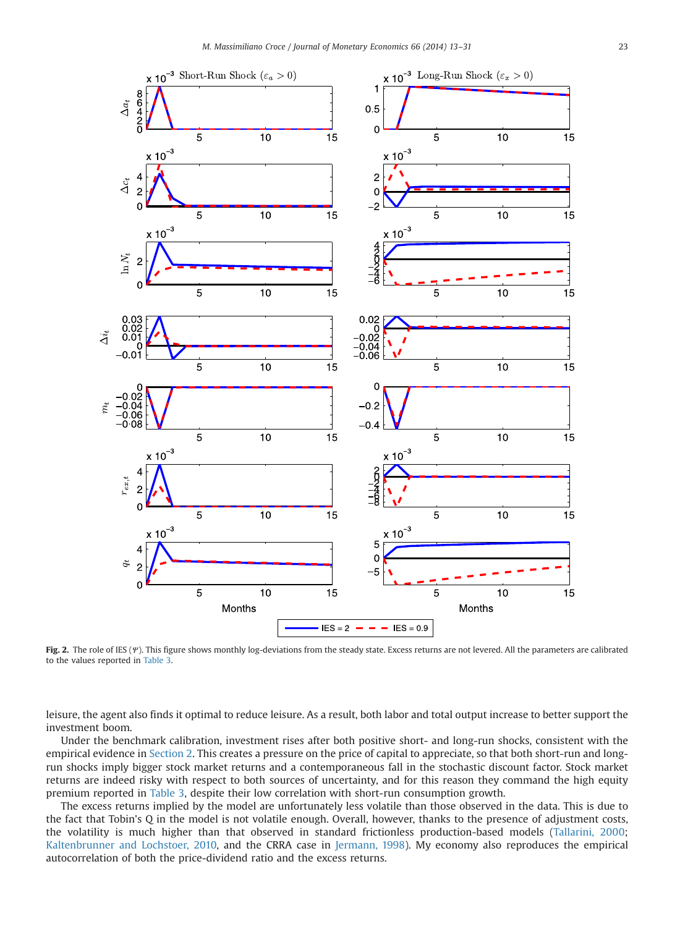<span id="page-10-0"></span>

Fig. 2. The role of IES (Ψ). This figure shows monthly log-deviations from the steady state. Excess returns are not levered. All the parameters are calibrated to the values reported in [Table 3.](#page-8-0)

leisure, the agent also finds it optimal to reduce leisure. As a result, both labor and total output increase to better support the investment boom.

Under the benchmark calibration, investment rises after both positive short- and long-run shocks, consistent with the empirical evidence in [Section 2](#page-2-0). This creates a pressure on the price of capital to appreciate, so that both short-run and longrun shocks imply bigger stock market returns and a contemporaneous fall in the stochastic discount factor. Stock market returns are indeed risky with respect to both sources of uncertainty, and for this reason they command the high equity premium reported in [Table 3,](#page-8-0) despite their low correlation with short-run consumption growth.

The excess returns implied by the model are unfortunately less volatile than those observed in the data. This is due to the fact that Tobin's Q in the model is not volatile enough. Overall, however, thanks to the presence of adjustment costs, the volatility is much higher than that observed in standard frictionless production-based models [\(Tallarini, 2000](#page-18-0); [Kaltenbrunner and Lochstoer, 2010](#page-18-0), and the CRRA case in [Jermann, 1998](#page-18-0)). My economy also reproduces the empirical autocorrelation of both the price-dividend ratio and the excess returns.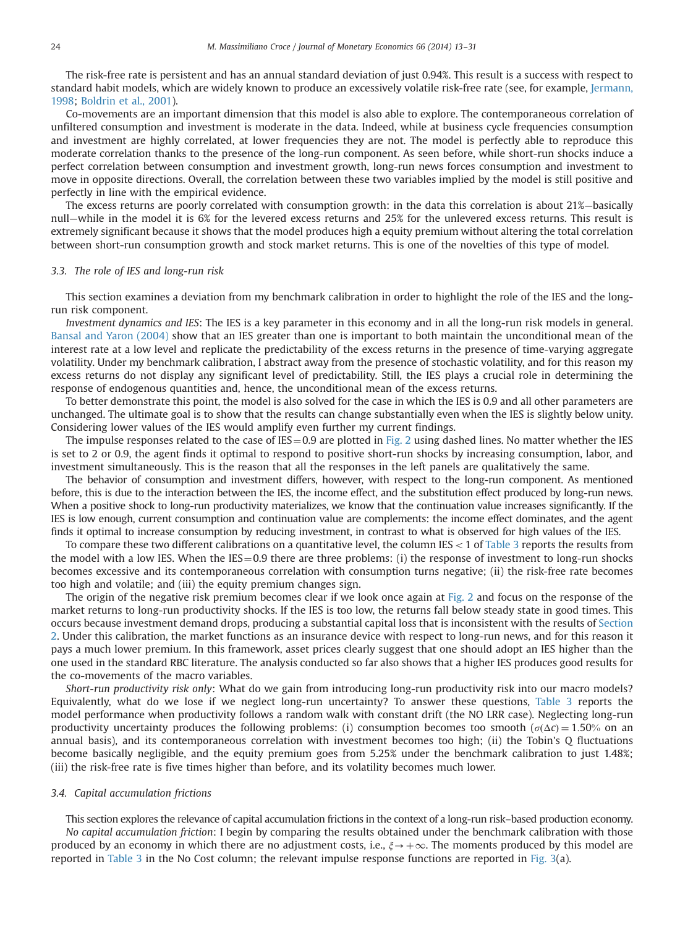The risk-free rate is persistent and has an annual standard deviation of just 0.94%. This result is a success with respect to standard habit models, which are widely known to produce an excessively volatile risk-free rate (see, for example, [Jermann,](#page-18-0) [1998](#page-18-0); [Boldrin et al., 2001\)](#page-18-0).

Co-movements are an important dimension that this model is also able to explore. The contemporaneous correlation of unfiltered consumption and investment is moderate in the data. Indeed, while at business cycle frequencies consumption and investment are highly correlated, at lower frequencies they are not. The model is perfectly able to reproduce this moderate correlation thanks to the presence of the long-run component. As seen before, while short-run shocks induce a perfect correlation between consumption and investment growth, long-run news forces consumption and investment to move in opposite directions. Overall, the correlation between these two variables implied by the model is still positive and perfectly in line with the empirical evidence.

The excess returns are poorly correlated with consumption growth: in the data this correlation is about 21%—basically null—while in the model it is 6% for the levered excess returns and 25% for the unlevered excess returns. This result is extremely significant because it shows that the model produces high a equity premium without altering the total correlation between short-run consumption growth and stock market returns. This is one of the novelties of this type of model.

#### 3.3. The role of IES and long-run risk

This section examines a deviation from my benchmark calibration in order to highlight the role of the IES and the longrun risk component.

Investment dynamics and IES: The IES is a key parameter in this economy and in all the long-run risk models in general. [Bansal and Yaron \(2004\)](#page-18-0) show that an IES greater than one is important to both maintain the unconditional mean of the interest rate at a low level and replicate the predictability of the excess returns in the presence of time-varying aggregate volatility. Under my benchmark calibration, I abstract away from the presence of stochastic volatility, and for this reason my excess returns do not display any significant level of predictability. Still, the IES plays a crucial role in determining the response of endogenous quantities and, hence, the unconditional mean of the excess returns.

To better demonstrate this point, the model is also solved for the case in which the IES is 0.9 and all other parameters are unchanged. The ultimate goal is to show that the results can change substantially even when the IES is slightly below unity. Considering lower values of the IES would amplify even further my current findings.

The impulse responses related to the case of  $IES = 0.9$  are plotted in [Fig. 2](#page-10-0) using dashed lines. No matter whether the IES is set to 2 or 0.9, the agent finds it optimal to respond to positive short-run shocks by increasing consumption, labor, and investment simultaneously. This is the reason that all the responses in the left panels are qualitatively the same.

The behavior of consumption and investment differs, however, with respect to the long-run component. As mentioned before, this is due to the interaction between the IES, the income effect, and the substitution effect produced by long-run news. When a positive shock to long-run productivity materializes, we know that the continuation value increases significantly. If the IES is low enough, current consumption and continuation value are complements: the income effect dominates, and the agent finds it optimal to increase consumption by reducing investment, in contrast to what is observed for high values of the IES.

To compare these two different calibrations on a quantitative level, the column IES  $<$  1 of [Table 3](#page-8-0) reports the results from the model with a low IES. When the IES $=$  0.9 there are three problems: (i) the response of investment to long-run shocks becomes excessive and its contemporaneous correlation with consumption turns negative; (ii) the risk-free rate becomes too high and volatile; and (iii) the equity premium changes sign.

The origin of the negative risk premium becomes clear if we look once again at [Fig. 2](#page-10-0) and focus on the response of the market returns to long-run productivity shocks. If the IES is too low, the returns fall below steady state in good times. This occurs because investment demand drops, producing a substantial capital loss that is inconsistent with the results of [Section](#page-2-0) [2.](#page-2-0) Under this calibration, the market functions as an insurance device with respect to long-run news, and for this reason it pays a much lower premium. In this framework, asset prices clearly suggest that one should adopt an IES higher than the one used in the standard RBC literature. The analysis conducted so far also shows that a higher IES produces good results for the co-movements of the macro variables.

Short-run productivity risk only: What do we gain from introducing long-run productivity risk into our macro models? Equivalently, what do we lose if we neglect long-run uncertainty? To answer these questions, [Table 3](#page-8-0) reports the model performance when productivity follows a random walk with constant drift (the NO LRR case). Neglecting long-run productivity uncertainty produces the following problems: (i) consumption becomes too smooth ( $\sigma(\Delta c) = 1.50\%$  on an annual basis), and its contemporaneous correlation with investment becomes too high; (ii) the Tobin's Q fluctuations become basically negligible, and the equity premium goes from 5.25% under the benchmark calibration to just 1.48%; (iii) the risk-free rate is five times higher than before, and its volatility becomes much lower.

#### 3.4. Capital accumulation frictions

This section explores the relevance of capital accumulation frictions in the context of a long-run risk–based production economy. No capital accumulation friction: I begin by comparing the results obtained under the benchmark calibration with those produced by an economy in which there are no adjustment costs, i.e.,  $\xi \to +\infty$ . The moments produced by this model are reported in [Table 3](#page-8-0) in the No Cost column; the relevant impulse response functions are reported in [Fig. 3](#page-12-0)(a).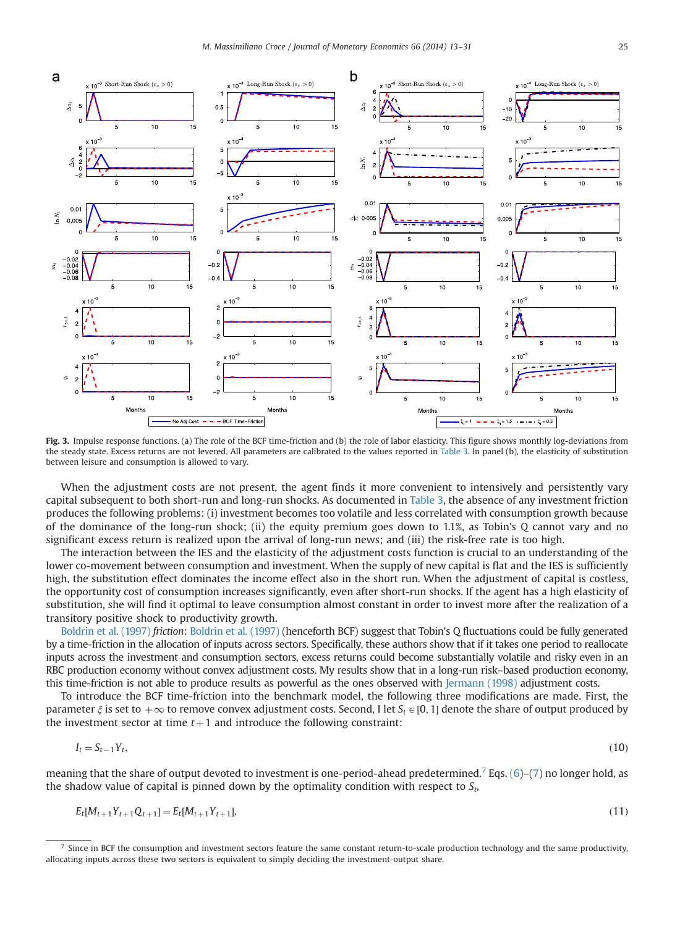<span id="page-12-0"></span>

Fig. 3. Impulse response functions. (a) The role of the BCF time-friction and (b) the role of labor elasticity. This figure shows monthly log-deviations from the steady state. Excess returns are not levered. All parameters are calibrated to the values reported in [Table 3.](#page-8-0) In panel (b), the elasticity of substitution between leisure and consumption is allowed to vary.

When the adjustment costs are not present, the agent finds it more convenient to intensively and persistently vary capital subsequent to both short-run and long-run shocks. As documented in [Table 3](#page-8-0), the absence of any investment friction produces the following problems: (i) investment becomes too volatile and less correlated with consumption growth because of the dominance of the long-run shock; (ii) the equity premium goes down to 1.1%, as Tobin's Q cannot vary and no significant excess return is realized upon the arrival of long-run news; and (iii) the risk-free rate is too high.

The interaction between the IES and the elasticity of the adjustment costs function is crucial to an understanding of the lower co-movement between consumption and investment. When the supply of new capital is flat and the IES is sufficiently high, the substitution effect dominates the income effect also in the short run. When the adjustment of capital is costless, the opportunity cost of consumption increases significantly, even after short-run shocks. If the agent has a high elasticity of substitution, she will find it optimal to leave consumption almost constant in order to invest more after the realization of a transitory positive shock to productivity growth.

[Boldrin et al. \(1997\)](#page-18-0) friction: [Boldrin et al. \(1997\)](#page-18-0) (henceforth BCF) suggest that Tobin's Q fluctuations could be fully generated by a time-friction in the allocation of inputs across sectors. Specifically, these authors show that if it takes one period to reallocate inputs across the investment and consumption sectors, excess returns could become substantially volatile and risky even in an RBC production economy without convex adjustment costs. My results show that in a long-run risk–based production economy, this time-friction is not able to produce results as powerful as the ones observed with [Jermann \(1998\)](#page-18-0) adjustment costs.

To introduce the BCF time-friction into the benchmark model, the following three modifications are made. First, the parameter  $\xi$  is set to  $+\infty$  to remove convex adjustment costs. Second, I let  $S_t \in [0, 1]$  denote the share of output produced by the investment sector at time  $t+1$  and introduce the following constraint:

$$
I_t = S_{t-1} Y_t,\tag{10}
$$

meaning that the share of output devoted to investment is one-period-ahead predetermined.<sup>7</sup> Eqs.  $(6)-(7)$  $(6)-(7)$  $(6)-(7)$  no longer hold, as the shadow value of capital is pinned down by the optimality condition with respect to  $S_t$ ,

$$
E_t[M_{t+1}Y_{t+1}Q_{t+1}] = E_t[M_{t+1}Y_{t+1}],
$$
\n(11)

Since in BCF the consumption and investment sectors feature the same constant return-to-scale production technology and the same productivity, allocating inputs across these two sectors is equivalent to simply deciding the investment-output share.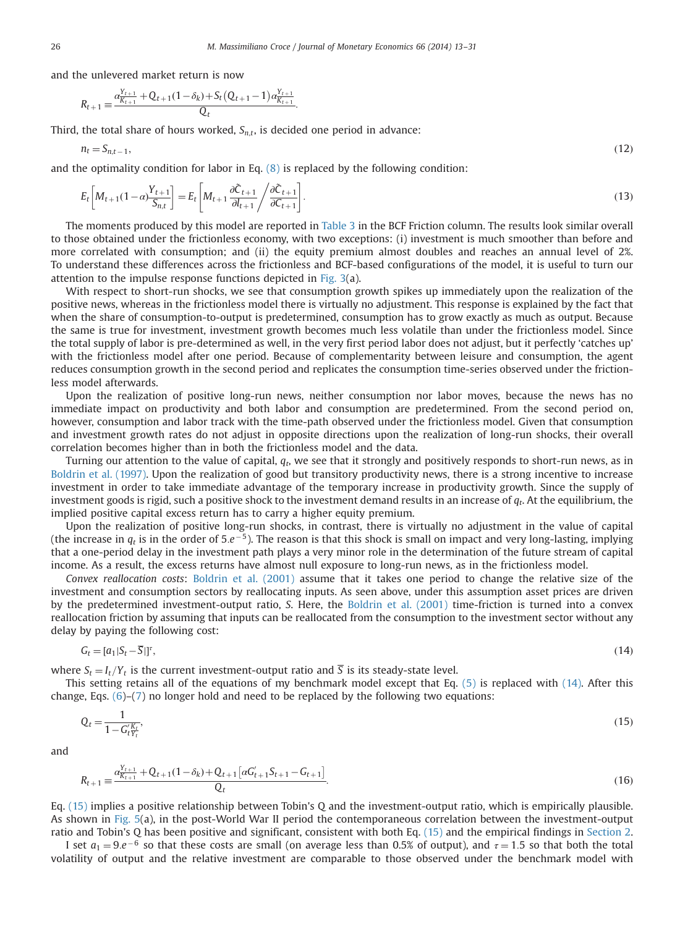<span id="page-13-0"></span>and the unlevered market return is now

$$
R_{t+1} = \frac{\alpha_{\overline{K}_{t+1}}^{Y_{t+1}} + Q_{t+1}(1-\delta_k) + S_t(Q_{t+1}-1)\alpha_{\overline{K}_{t+1}}^{Y_{t+1}}}{Q_t}
$$

Third, the total share of hours worked,  $S_{n,t}$ , is decided one period in advance:

$$
n_t = S_{n,t-1},\tag{12}
$$

and the optimality condition for labor in Eq.  $(8)$  is replaced by the following condition:

:

$$
E_t\left[M_{t+1}(1-\alpha)\frac{Y_{t+1}}{S_{n,t}}\right] = E_t\left[M_{t+1}\frac{\partial \tilde{C}_{t+1}}{\partial l_{t+1}}\middle/\frac{\partial \tilde{C}_{t+1}}{\partial C_{t+1}}\right].
$$
\n(13)

The moments produced by this model are reported in [Table 3](#page-8-0) in the BCF Friction column. The results look similar overall to those obtained under the frictionless economy, with two exceptions: (i) investment is much smoother than before and more correlated with consumption; and (ii) the equity premium almost doubles and reaches an annual level of 2%. To understand these differences across the frictionless and BCF-based configurations of the model, it is useful to turn our attention to the impulse response functions depicted in [Fig. 3](#page-12-0)(a).

With respect to short-run shocks, we see that consumption growth spikes up immediately upon the realization of the positive news, whereas in the frictionless model there is virtually no adjustment. This response is explained by the fact that when the share of consumption-to-output is predetermined, consumption has to grow exactly as much as output. Because the same is true for investment, investment growth becomes much less volatile than under the frictionless model. Since the total supply of labor is pre-determined as well, in the very first period labor does not adjust, but it perfectly 'catches up' with the frictionless model after one period. Because of complementarity between leisure and consumption, the agent reduces consumption growth in the second period and replicates the consumption time-series observed under the frictionless model afterwards.

Upon the realization of positive long-run news, neither consumption nor labor moves, because the news has no immediate impact on productivity and both labor and consumption are predetermined. From the second period on, however, consumption and labor track with the time-path observed under the frictionless model. Given that consumption and investment growth rates do not adjust in opposite directions upon the realization of long-run shocks, their overall correlation becomes higher than in both the frictionless model and the data.

Turning our attention to the value of capital,  $q<sub>t</sub>$ , we see that it strongly and positively responds to short-run news, as in [Boldrin et al. \(1997\)](#page-18-0). Upon the realization of good but transitory productivity news, there is a strong incentive to increase investment in order to take immediate advantage of the temporary increase in productivity growth. Since the supply of investment goods is rigid, such a positive shock to the investment demand results in an increase of  $q_t$ . At the equilibrium, the implied positive capital excess return has to carry a higher equity premium.

Upon the realization of positive long-run shocks, in contrast, there is virtually no adjustment in the value of capital (the increase in  $q_t$  is in the order of 5. $e^{-5}$ ). The reason is that this shock is small on impact and very long-lasting, implying that a one-period delay in the investment path plays a very minor role in the determination of the future stream of capital income. As a result, the excess returns have almost null exposure to long-run news, as in the frictionless model.

Convex reallocation costs: [Boldrin et al. \(2001\)](#page-18-0) assume that it takes one period to change the relative size of the investment and consumption sectors by reallocating inputs. As seen above, under this assumption asset prices are driven by the predetermined investment-output ratio, S. Here, the [Boldrin et al. \(2001\)](#page-18-0) time-friction is turned into a convex reallocation friction by assuming that inputs can be reallocated from the consumption to the investment sector without any delay by paying the following cost:

$$
G_t = [a_1|S_t - \overline{S}|]^{\tau},\tag{14}
$$

where  $S_t = I_t/Y_t$  is the current investment-output ratio and  $\overline{S}$  is its steady-state level.

This setting retains all of the equations of my benchmark model except that Eq. [\(5\)](#page-7-0) is replaced with (14). After this change, Eqs.  $(6)-(7)$  $(6)-(7)$  $(6)-(7)$  $(6)-(7)$  no longer hold and need to be replaced by the following two equations:

$$
Q_t = \frac{1}{1 - G_t' K_t},\tag{15}
$$

and

$$
R_{t+1} = \frac{\alpha_{K_{t+1}}^{Y_{t+1}} + Q_{t+1}(1 - \delta_k) + Q_{t+1} [\alpha G'_{t+1} S_{t+1} - G_{t+1}]}{Q_t}.
$$
\n(16)

Eq. (15) implies a positive relationship between Tobin's Q and the investment-output ratio, which is empirically plausible. As shown in [Fig. 5](#page-17-0)(a), in the post-World War II period the contemporaneous correlation between the investment-output ratio and Tobin's Q has been positive and significant, consistent with both Eq. (15) and the empirical findings in [Section 2](#page-2-0).

I set  $a_1 = 9e^{-6}$  so that these costs are small (on average less than 0.5% of output), and  $\tau = 1.5$  so that both the total<br>atility of output and the relative investment are comparable to those observed under the benchma volatility of output and the relative investment are comparable to those observed under the benchmark model with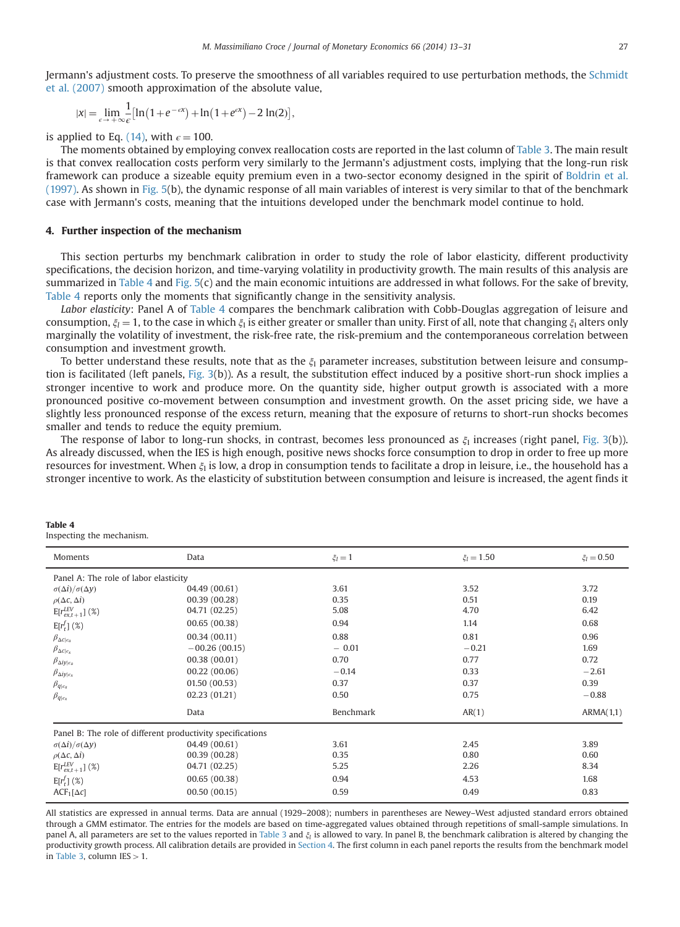<span id="page-14-0"></span>Jermann's adjustment costs. To preserve the smoothness of all variables required to use perturbation methods, the [Schmidt](#page-18-0) [et al. \(2007\)](#page-18-0) smooth approximation of the absolute value,

$$
|x| = \lim_{\epsilon \to +\infty} \frac{1}{\epsilon} [\ln(1 + e^{-\epsilon x}) + \ln(1 + e^{\epsilon x}) - 2 \ln(2)],
$$

is applied to Eq. [\(14\)](#page-13-0), with  $\epsilon = 100$ .

The moments obtained by employing convex reallocation costs are reported in the last column of [Table 3.](#page-8-0) The main result is that convex reallocation costs perform very similarly to the Jermann's adjustment costs, implying that the long-run risk framework can produce a sizeable equity premium even in a two-sector economy designed in the spirit of [Boldrin et al.](#page-18-0) [\(1997\)](#page-18-0). As shown in [Fig. 5\(](#page-17-0)b), the dynamic response of all main variables of interest is very similar to that of the benchmark case with Jermann's costs, meaning that the intuitions developed under the benchmark model continue to hold.

#### 4. Further inspection of the mechanism

This section perturbs my benchmark calibration in order to study the role of labor elasticity, different productivity specifications, the decision horizon, and time-varying volatility in productivity growth. The main results of this analysis are summarized in Table 4 and [Fig. 5](#page-17-0)(c) and the main economic intuitions are addressed in what follows. For the sake of brevity, Table 4 reports only the moments that significantly change in the sensitivity analysis.

Labor elasticity: Panel A of Table 4 compares the benchmark calibration with Cobb-Douglas aggregation of leisure and consumption,  $\xi_l = 1$ , to the case in which  $\xi_l$  is either greater or smaller than unity. First of all, note that changing  $\xi_l$  alters only marginally the volatility of investment, the risk-free rate, the risk-premium and the contemporaneous correlation between consumption and investment growth.

To better understand these results, note that as the  $\xi_1$  parameter increases, substitution between leisure and consumption is facilitated (left panels, [Fig. 3](#page-12-0)(b)). As a result, the substitution effect induced by a positive short-run shock implies a stronger incentive to work and produce more. On the quantity side, higher output growth is associated with a more pronounced positive co-movement between consumption and investment growth. On the asset pricing side, we have a slightly less pronounced response of the excess return, meaning that the exposure of returns to short-run shocks becomes smaller and tends to reduce the equity premium.

The response of labor to long-run shocks, in contrast, becomes less pronounced as  $\xi_1$  increases (right panel, [Fig. 3](#page-12-0)(b)). As already discussed, when the IES is high enough, positive news shocks force consumption to drop in order to free up more resources for investment. When  $\xi_1$  is low, a drop in consumption tends to facilitate a drop in leisure, i.e., the household has a stronger incentive to work. As the elasticity of substitution between consumption and leisure is increased, the agent finds it

| Moments                                                    | Data            | $\xi_l=1$ | $\xi_l = 1.50$ | $\xi_l = 0.50$ |  |  |  |  |
|------------------------------------------------------------|-----------------|-----------|----------------|----------------|--|--|--|--|
| Panel A: The role of labor elasticity                      |                 |           |                |                |  |  |  |  |
| $\sigma(\Delta i)/\sigma(\Delta y)$                        | 04.49 (00.61)   | 3.61      | 3.52           | 3.72           |  |  |  |  |
| $\rho(\Delta\mathcal{C},\Delta i)$                         | 00.39(00.28)    | 0.35      | 0.51           | 0.19           |  |  |  |  |
| $E[r_{ext+1}^{LEV}]$ (%)                                   | 04.71 (02.25)   | 5.08      | 4.70           | 6.42           |  |  |  |  |
| $E[r_t^f]$ (%)                                             | 00.65(00.38)    | 0.94      | 1.14           | 0.68           |  |  |  |  |
| $\beta_{\Delta c _{\epsilon_a}}$                           | 00.34(00.11)    | 0.88      | 0.81           | 0.96           |  |  |  |  |
| $\beta_{\Delta c _{\epsilon_X}}$                           | $-00.26(00.15)$ | $-0.01$   | $-0.21$        | 1.69           |  |  |  |  |
| $\beta_{\Delta i y \epsilon_a}$                            | 00.38(00.01)    | 0.70      | 0.77           | 0.72           |  |  |  |  |
| $\beta_{\Delta i y \epsilon_{x}}$                          | 00.22(00.06)    | $-0.14$   | 0.33           | $-2.61$        |  |  |  |  |
| $\beta_{q _{\epsilon_a}}$                                  | 01.50 (00.53)   | 0.37      | 0.37           | 0.39           |  |  |  |  |
| $\beta_{q \epsilon_{x}}$                                   | 02.23 (01.21)   | 0.50      | 0.75           | $-0.88$        |  |  |  |  |
|                                                            | Data            | Benchmark | AR(1)          | ARMA(1,1)      |  |  |  |  |
| Panel B: The role of different productivity specifications |                 |           |                |                |  |  |  |  |
| $\sigma(\Delta i)/\sigma(\Delta y)$                        | 04.49 (00.61)   | 3.61      | 2.45           | 3.89           |  |  |  |  |
| $\rho(\Delta\mathcal{C},\Delta i)$                         | 00.39(00.28)    | 0.35      | 0.80           | 0.60           |  |  |  |  |
| $E[r_{ex,t+1}^{LEV}](\%)$                                  | 04.71 (02.25)   | 5.25      | 2.26           | 8.34           |  |  |  |  |
| $E[r_t^f]$ (%)                                             | 00.65(00.38)    | 0.94      | 4.53           | 1.68           |  |  |  |  |
| $ACF_1[\Delta c]$                                          | 00.50(00.15)    | 0.59      | 0.49           | 0.83           |  |  |  |  |

Table 4 Inspecting the mechanism.

through a GMM estimator. The entries for the models are based on time-aggregated values obtained through repetitions of small-sample simulations. In panel A, all parameters are set to the values reported in [Table 3](#page-8-0) and  $\xi_i$  is allowed to vary. In panel B, the benchmark calibration is altered by changing the productivity growth process. All calibration details are provided in Section 4. The first column in each panel reports the results from the benchmark model in [Table 3,](#page-8-0) column  $IES > 1$ .

All statistics are expressed in annual terms. Data are annual (1929–2008); numbers in parentheses are Newey–West adjusted standard errors obtained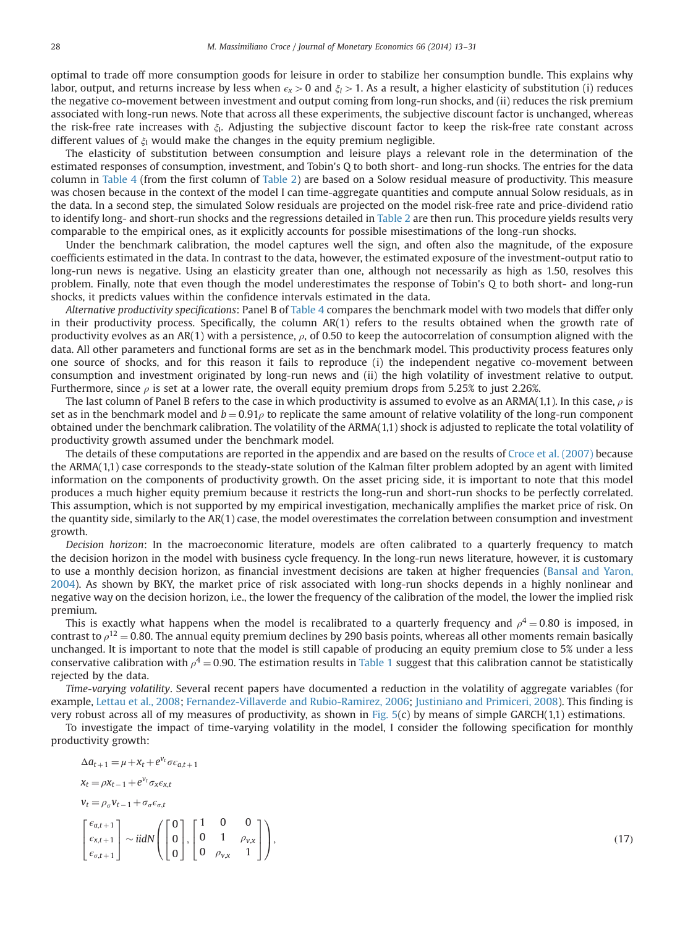<span id="page-15-0"></span>optimal to trade off more consumption goods for leisure in order to stabilize her consumption bundle. This explains why labor, output, and returns increase by less when  $\epsilon_x > 0$  and  $\xi_i > 1$ . As a result, a higher elasticity of substitution (i) reduces the negative co-movement between investment and output coming from long-run shocks, and (ii) reduces the risk premium associated with long-run news. Note that across all these experiments, the subjective discount factor is unchanged, whereas the risk-free rate increases with  $\xi$ . Adjusting the subjective discount factor to keep the risk-free rate constant across different values of  $\xi$ <sup>1</sup> would make the changes in the equity premium negligible.

The elasticity of substitution between consumption and leisure plays a relevant role in the determination of the estimated responses of consumption, investment, and Tobin's Q to both short- and long-run shocks. The entries for the data column in [Table 4](#page-14-0) (from the first column of [Table 2\)](#page-6-0) are based on a Solow residual measure of productivity. This measure was chosen because in the context of the model I can time-aggregate quantities and compute annual Solow residuals, as in the data. In a second step, the simulated Solow residuals are projected on the model risk-free rate and price-dividend ratio to identify long- and short-run shocks and the regressions detailed in [Table 2](#page-6-0) are then run. This procedure yields results very comparable to the empirical ones, as it explicitly accounts for possible misestimations of the long-run shocks.

Under the benchmark calibration, the model captures well the sign, and often also the magnitude, of the exposure coefficients estimated in the data. In contrast to the data, however, the estimated exposure of the investment-output ratio to long-run news is negative. Using an elasticity greater than one, although not necessarily as high as 1.50, resolves this problem. Finally, note that even though the model underestimates the response of Tobin's Q to both short- and long-run shocks, it predicts values within the confidence intervals estimated in the data.

Alternative productivity specifications: Panel B of [Table 4](#page-14-0) compares the benchmark model with two models that differ only in their productivity process. Specifically, the column AR(1) refers to the results obtained when the growth rate of productivity evolves as an AR(1) with a persistence,  $ρ$ , of 0.50 to keep the autocorrelation of consumption aligned with the data. All other parameters and functional forms are set as in the benchmark model. This productivity process features only one source of shocks, and for this reason it fails to reproduce (i) the independent negative co-movement between consumption and investment originated by long-run news and (ii) the high volatility of investment relative to output. Furthermore, since  $\rho$  is set at a lower rate, the overall equity premium drops from 5.25% to just 2.26%.

The last column of Panel B refers to the case in which productivity is assumed to evolve as an ARMA(1,1). In this case,  $\rho$  is set as in the benchmark model and  $b = 0.91\rho$  to replicate the same amount of relative volatility of the long-run component obtained under the benchmark calibration. The volatility of the ARMA(1,1) shock is adjusted to replicate the total volatility of productivity growth assumed under the benchmark model.

The details of these computations are reported in the appendix and are based on the results of [Croce et al. \(2007\)](#page-18-0) because the ARMA(1,1) case corresponds to the steady-state solution of the Kalman filter problem adopted by an agent with limited information on the components of productivity growth. On the asset pricing side, it is important to note that this model produces a much higher equity premium because it restricts the long-run and short-run shocks to be perfectly correlated. This assumption, which is not supported by my empirical investigation, mechanically amplifies the market price of risk. On the quantity side, similarly to the AR(1) case, the model overestimates the correlation between consumption and investment growth.

Decision horizon: In the macroeconomic literature, models are often calibrated to a quarterly frequency to match the decision horizon in the model with business cycle frequency. In the long-run news literature, however, it is customary to use a monthly decision horizon, as financial investment decisions are taken at higher frequencies [\(Bansal and Yaron,](#page-18-0) [2004](#page-18-0)). As shown by BKY, the market price of risk associated with long-run shocks depends in a highly nonlinear and negative way on the decision horizon, i.e., the lower the frequency of the calibration of the model, the lower the implied risk premium.

This is exactly what happens when the model is recalibrated to a quarterly frequency and  $\rho^4 = 0.80$  is imposed, in contrast to  $\rho^{12} = 0.80$ . The annual equity premium declines by 290 basis points, whereas all other moments remain basically unchanged. It is important to note that the model is still capable of producing an equity premium close to 5% under a less conservative calibration with  $\rho^4 = 0.90$ . The estimation results in [Table 1](#page-4-0) suggest that this calibration cannot be statistically rejected by the data.

Time-varying volatility. Several recent papers have documented a reduction in the volatility of aggregate variables (for example, [Lettau et al., 2008](#page-18-0); [Fernandez-Villaverde and Rubio-Ramirez, 2006;](#page-18-0) [Justiniano and Primiceri, 2008\)](#page-18-0). This finding is very robust across all of my measures of productivity, as shown in [Fig. 5\(](#page-17-0)c) by means of simple GARCH(1,1) estimations.

To investigate the impact of time-varying volatility in the model, I consider the following specification for monthly productivity growth:

$$
\Delta a_{t+1} = \mu + x_t + e^{v_t} \sigma \epsilon_{a,t+1}
$$
\n
$$
x_t = \rho x_{t-1} + e^{v_t} \sigma \epsilon_{x,t}
$$
\n
$$
v_t = \rho_\sigma v_{t-1} + \sigma_\sigma \epsilon_{\sigma,t}
$$
\n
$$
\begin{bmatrix}\n\epsilon_{a,t+1} \\
\epsilon_{x,t+1} \\
\epsilon_{a,t+1}\n\end{bmatrix} \sim \tilde{t} \tilde{d}N \left( \begin{bmatrix} 0 \\ 0 \\ 0 \end{bmatrix}, \begin{bmatrix} 1 & 0 & 0 \\ 0 & 1 & \rho_{v,x} \\ 0 & \rho_{v,x} & 1 \end{bmatrix} \right),
$$
\n(17)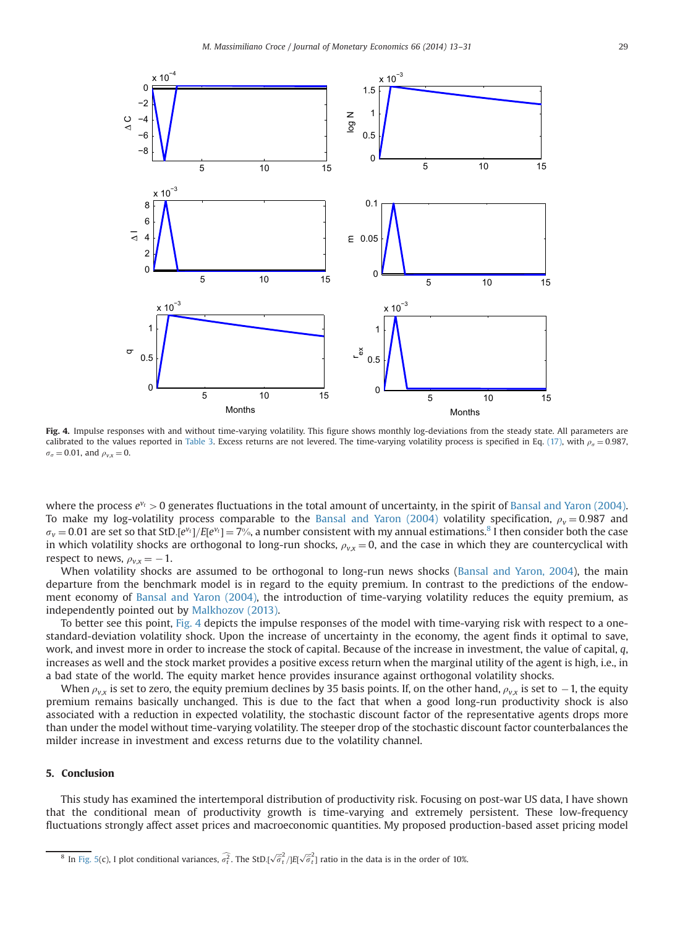<span id="page-16-0"></span>

Fig. 4. Impulse responses with and without time-varying volatility. This figure shows monthly log-deviations from the steady state. All parameters are calibrated to the values reported in [Table 3.](#page-8-0) Excess returns are not levered. The time-varying volatility process is specified in Eq. [\(17\)](#page-15-0), with  $\rho_{\sigma} = 0.987$ ,  $\sigma_{\sigma} = 0.01$ , and  $\rho_{v,x} = 0$ .

where the process  $e^{v_t} > 0$  generates fluctuations in the total amount of uncertainty, in the spirit of [Bansal and Yaron \(2004\)](#page-18-0). To make my log-volatility process comparable to the [Bansal and Yaron \(2004\)](#page-18-0) volatility specification,  $\rho_v = 0.987$  and  $\sigma_v = 0.01$  are set so that StD.[ $e^{v_t}$ ]/E[ $e^{v_t}$ ] = 7%, a number consistent with my annual estimations.<sup>8</sup> I then consider both the case in which volatility shocks are orthogonal to long-run shocks,  $\rho_{vx} = 0$ , and the case in which they are countercyclical with respect to news,  $\rho_{v,x} = -1$ .<br>When volatility shocks

When volatility shocks are assumed to be orthogonal to long-run news shocks ([Bansal and Yaron, 2004](#page-18-0)), the main departure from the benchmark model is in regard to the equity premium. In contrast to the predictions of the endowment economy of [Bansal and Yaron \(2004\),](#page-18-0) the introduction of time-varying volatility reduces the equity premium, as independently pointed out by [Malkhozov \(2013\)](#page-18-0).

To better see this point, Fig. 4 depicts the impulse responses of the model with time-varying risk with respect to a onestandard-deviation volatility shock. Upon the increase of uncertainty in the economy, the agent finds it optimal to save, work, and invest more in order to increase the stock of capital. Because of the increase in investment, the value of capital, q, increases as well and the stock market provides a positive excess return when the marginal utility of the agent is high, i.e., in a bad state of the world. The equity market hence provides insurance against orthogonal volatility shocks.

When  $\rho_{v,x}$  is set to zero, the equity premium declines by 35 basis points. If, on the other hand,  $\rho_{v,x}$  is set to  $-1$ , the equity productivity shock is also premium remains basically unchanged. This is due to the fact that when a good long-run productivity shock is also associated with a reduction in expected volatility, the stochastic discount factor of the representative agents drops more than under the model without time-varying volatility. The steeper drop of the stochastic discount factor counterbalances the milder increase in investment and excess returns due to the volatility channel.

#### 5. Conclusion

This study has examined the intertemporal distribution of productivity risk. Focusing on post-war US data, I have shown that the conditional mean of productivity growth is time-varying and extremely persistent. These low-frequency fluctuations strongly affect asset prices and macroeconomic quantities. My proposed production-based asset pricing model

<sup>&</sup>lt;sup>8</sup> In [Fig. 5](#page-17-0)(c), I plot conditional variances,  $\sigma_t^2$ . The StD.[ $\sqrt{\sigma_t^2}/|E[\sqrt{\sigma_t^2}]$  ratio in the data is in the order of 10%.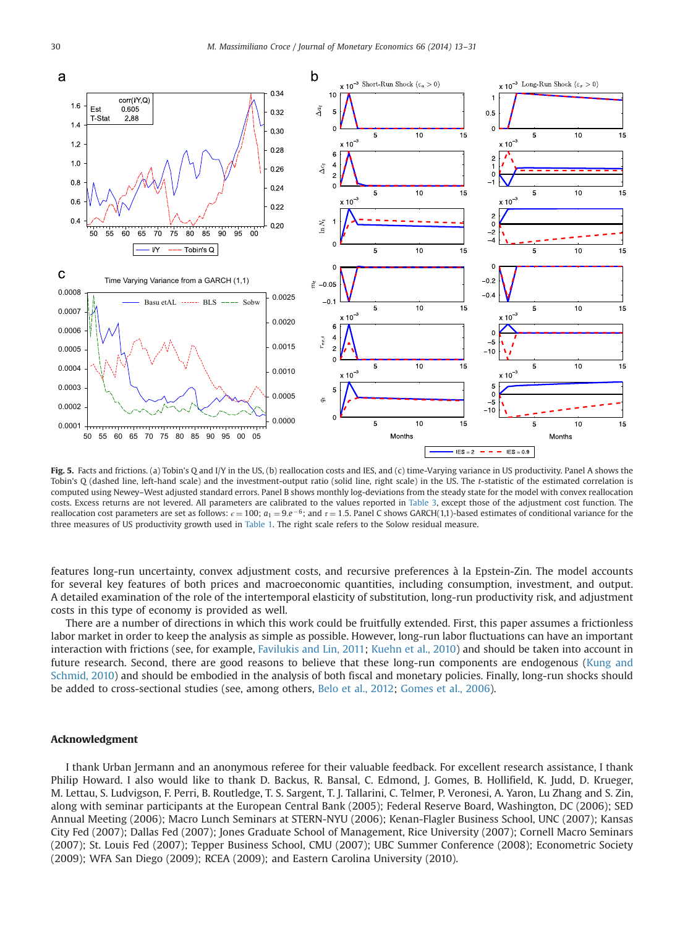<span id="page-17-0"></span>

Fig. 5. Facts and frictions. (a) Tobin's Q and I/Y in the US, (b) reallocation costs and IES, and (c) time-Varying variance in US productivity. Panel A shows the Tobin's Q (dashed line, left-hand scale) and the investment-output ratio (solid line, right scale) in the US. The t-statistic of the estimated correlation is computed using Newey–West adjusted standard errors. Panel B shows monthly log-deviations from the steady state for the model with convex reallocation costs. Excess returns are not levered. All parameters are calibrated to the values reported in [Table 3,](#page-8-0) except those of the adjustment cost function. The reallocation cost parameters are set as follows:  $\epsilon = 100$ ;  $a_1 = 9e^{-6}$ ; and  $\tau = 1.5$ . Panel C shows GARCH(1,1)-based estimates of conditional variance for the the setimates of conditional variance for the state of the three measures of US productivity growth used in [Table 1](#page-4-0). The right scale refers to the Solow residual measure.

features long-run uncertainty, convex adjustment costs, and recursive preferences à la Epstein-Zin. The model accounts for several key features of both prices and macroeconomic quantities, including consumption, investment, and output. A detailed examination of the role of the intertemporal elasticity of substitution, long-run productivity risk, and adjustment costs in this type of economy is provided as well.

There are a number of directions in which this work could be fruitfully extended. First, this paper assumes a frictionless labor market in order to keep the analysis as simple as possible. However, long-run labor fluctuations can have an important interaction with frictions (see, for example, [Favilukis and Lin, 2011](#page-18-0); [Kuehn et al., 2010](#page-18-0)) and should be taken into account in future research. Second, there are good reasons to believe that these long-run components are endogenous ([Kung and](#page-18-0) [Schmid, 2010](#page-18-0)) and should be embodied in the analysis of both fiscal and monetary policies. Finally, long-run shocks should be added to cross-sectional studies (see, among others, [Belo et al., 2012](#page-18-0); [Gomes et al., 2006](#page-18-0)).

#### Acknowledgment

I thank Urban Jermann and an anonymous referee for their valuable feedback. For excellent research assistance, I thank Philip Howard. I also would like to thank D. Backus, R. Bansal, C. Edmond, J. Gomes, B. Hollifield, K. Judd, D. Krueger, M. Lettau, S. Ludvigson, F. Perri, B. Routledge, T. S. Sargent, T. J. Tallarini, C. Telmer, P. Veronesi, A. Yaron, Lu Zhang and S. Zin, along with seminar participants at the European Central Bank (2005); Federal Reserve Board, Washington, DC (2006); SED Annual Meeting (2006); Macro Lunch Seminars at STERN-NYU (2006); Kenan-Flagler Business School, UNC (2007); Kansas City Fed (2007); Dallas Fed (2007); Jones Graduate School of Management, Rice University (2007); Cornell Macro Seminars (2007); St. Louis Fed (2007); Tepper Business School, CMU (2007); UBC Summer Conference (2008); Econometric Society (2009); WFA San Diego (2009); RCEA (2009); and Eastern Carolina University (2010).